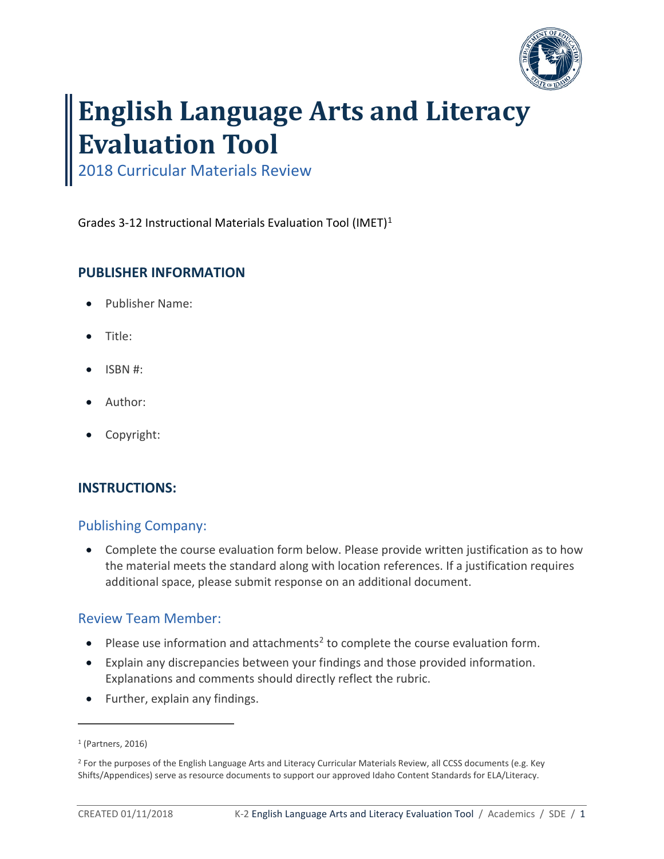

# **English Language Arts and Literacy Evaluation Tool**

2018 Curricular Materials Review

Grades 3-12 Instructional Materials Evaluation Tool (IMET)[1](#page-0-0)

# **PUBLISHER INFORMATION**

- Publisher Name:
- Title:
- ISBN #:
- Author:
- Copyright:

# **INSTRUCTIONS:**

# Publishing Company:

• Complete the course evaluation form below. Please provide written justification as to how the material meets the standard along with location references. If a justification requires additional space, please submit response on an additional document.

# Review Team Member:

- Please use information and attachments<sup>[2](#page-0-1)</sup> to complete the course evaluation form.
- Explain any discrepancies between your findings and those provided information. Explanations and comments should directly reflect the rubric.
- Further, explain any findings.

 $\overline{a}$ 

<span id="page-0-0"></span><sup>1</sup> (Partners, 2016)

<span id="page-0-1"></span><sup>&</sup>lt;sup>2</sup> For the purposes of the English Language Arts and Literacy Curricular Materials Review, all CCSS documents (e.g. Key Shifts/Appendices) serve as resource documents to support our approved Idaho Content Standards for ELA/Literacy.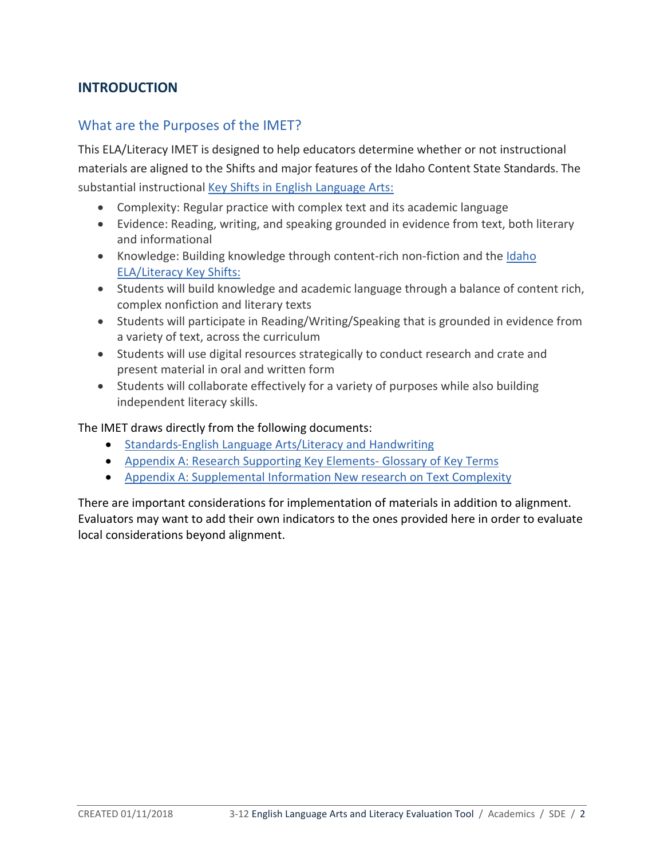# **INTRODUCTION**

# What are the Purposes of the IMET?

This ELA/Literacy IMET is designed to help educators determine whether or not instructional materials are aligned to the Shifts and major features of the Idaho Content State Standards. The substantial instructional [Key Shifts in English Language Arts:](http://www.corestandards.org/other-resources/key-shifts-in-english-language-arts/)

- Complexity: Regular practice with complex text and its academic language
- Evidence: Reading, writing, and speaking grounded in evidence from text, both literary and informational
- Knowledge: Building knowledge through content-rich non-fiction and the Idaho [ELA/Literacy Key Shifts:](http://www.sde.idaho.gov/academic/ela-literacy/files/standards/getting-started/Idaho-Content-Key-Shifts-Flyer.pdf)
- Students will build knowledge and academic language through a balance of content rich, complex nonfiction and literary texts
- Students will participate in Reading/Writing/Speaking that is grounded in evidence from a variety of text, across the curriculum
- Students will use digital resources strategically to conduct research and crate and present material in oral and written form
- Students will collaborate effectively for a variety of purposes while also building independent literacy skills.

#### The IMET draws directly from the following documents:

- [Standards-English Language Arts/Literacy and Handwriting](http://www.sde.idaho.gov/academic/shared/ela-literacy/booklets/ELA-Literacy-Standards.pdf)
- [Appendix A: Research Supporting Key Elements- Glossary of Key Terms](http://www.corestandards.org/assets/Appendix_A.pdf)
- [Appendix A: Supplemental Information New research on Text Complexity](http://www.corestandards.org/assets/E0813_Appendix_A_New_Research_on_Text_Complexity.pdf)

There are important considerations for implementation of materials in addition to alignment. Evaluators may want to add their own indicators to the ones provided here in order to evaluate local considerations beyond alignment.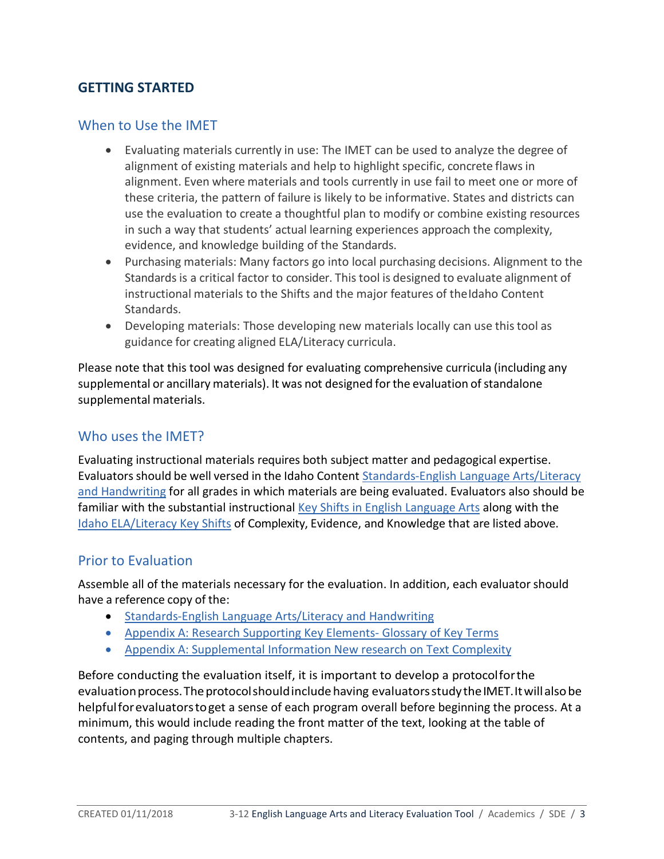# **GETTING STARTED**

# When to Use the IMET

- Evaluating materials currently in use: The IMET can be used to analyze the degree of alignment of existing materials and help to highlight specific, concrete flaws in alignment. Even where materials and tools currently in use fail to meet one or more of these criteria, the pattern of failure is likely to be informative. States and districts can use the evaluation to create a thoughtful plan to modify or combine existing resources in such a way that students' actual learning experiences approach the complexity, evidence, and knowledge building of the Standards.
- Purchasing materials: Many factors go into local purchasing decisions. Alignment to the Standards is a critical factor to consider. Thistool is designed to evaluate alignment of instructional materials to the Shifts and the major features of theIdaho Content Standards.
- Developing materials: Those developing new materials locally can use thistool as guidance for creating aligned ELA/Literacy curricula.

Please note that this tool was designed for evaluating comprehensive curricula (including any supplemental or ancillary materials). It was not designed for the evaluation of standalone supplemental materials.

# Who uses the **IMET?**

Evaluating instructional materials requires both subject matter and pedagogical expertise. Evaluators should be well versed in the Idaho Content Standards-English Language Arts/Literacy [and Handwriting](http://www.sde.idaho.gov/academic/shared/ela-literacy/booklets/ELA-Literacy-Standards.pdf) for all grades in which materials are being evaluated. Evaluators also should be familiar with the substantial instructional [Key Shifts in English Language Arts](http://www.corestandards.org/other-resources/key-shifts-in-english-language-arts/) along with the [Idaho ELA/Literacy Key Shifts](http://www.sde.idaho.gov/academic/ela-literacy/files/standards/getting-started/Idaho-Content-Key-Shifts-Flyer.pdf) of Complexity, Evidence, and Knowledge that are listed above.

## Prior to Evaluation

Assemble all of the materials necessary for the evaluation. In addition, each evaluator should have a reference copy of the:

- [Standards-English Language Arts/Literacy and Handwriting](http://www.sde.idaho.gov/academic/shared/ela-literacy/booklets/ELA-Literacy-Standards.pdf)
- [Appendix A: Research Supporting Key Elements- Glossary of Key Terms](http://www.corestandards.org/assets/Appendix_A.pdf)
- [Appendix A: Supplemental Information New research on Text Complexity](http://www.corestandards.org/assets/E0813_Appendix_A_New_Research_on_Text_Complexity.pdf)

Before conducting the evaluation itself, it is important to develop a protocolforthe evaluation process. The protocol should include having evaluators study the IMET. It will also be helpfulforevaluatorstoget a sense of each program overall before beginning the process. At a minimum, this would include reading the front matter of the text, looking at the table of contents, and paging through multiple chapters.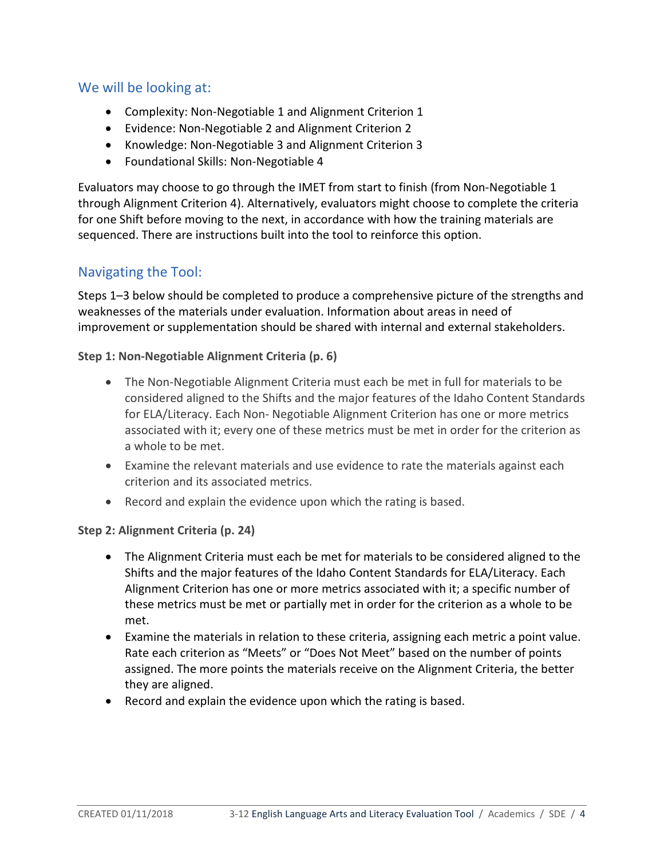# We will be looking at:

- Complexity: Non-Negotiable 1 and Alignment Criterion 1
- Evidence: Non-Negotiable 2 and Alignment Criterion 2
- Knowledge: Non-Negotiable 3 and Alignment Criterion 3
- Foundational Skills: Non-Negotiable 4

Evaluators may choose to go through the IMET from start to finish (from Non-Negotiable 1 through Alignment Criterion 4). Alternatively, evaluators might choose to complete the criteria for one Shift before moving to the next, in accordance with how the training materials are sequenced. There are instructions built into the tool to reinforce this option.

# Navigating the Tool:

Steps 1–3 below should be completed to produce a comprehensive picture of the strengths and weaknesses of the materials under evaluation. Information about areas in need of improvement or supplementation should be shared with internal and external stakeholders.

#### **Step 1: Non-Negotiable Alignment Criteria (p. 6)**

- The Non-Negotiable Alignment Criteria must each be met in full for materials to be considered aligned to the Shifts and the major features of the Idaho Content Standards for ELA/Literacy. Each Non- Negotiable Alignment Criterion has one or more metrics associated with it; every one of these metrics must be met in order for the criterion as a whole to be met.
- Examine the relevant materials and use evidence to rate the materials against each criterion and its associated metrics.
- Record and explain the evidence upon which the rating is based.

#### **Step 2: Alignment Criteria (p. 24)**

- The Alignment Criteria must each be met for materials to be considered aligned to the Shifts and the major features of the Idaho Content Standards for ELA/Literacy. Each Alignment Criterion has one or more metrics associated with it; a specific number of these metrics must be met or partially met in order for the criterion as a whole to be met.
- Examine the materials in relation to these criteria, assigning each metric a point value. Rate each criterion as "Meets" or "Does Not Meet" based on the number of points assigned. The more points the materials receive on the Alignment Criteria, the better they are aligned.
- Record and explain the evidence upon which the rating is based.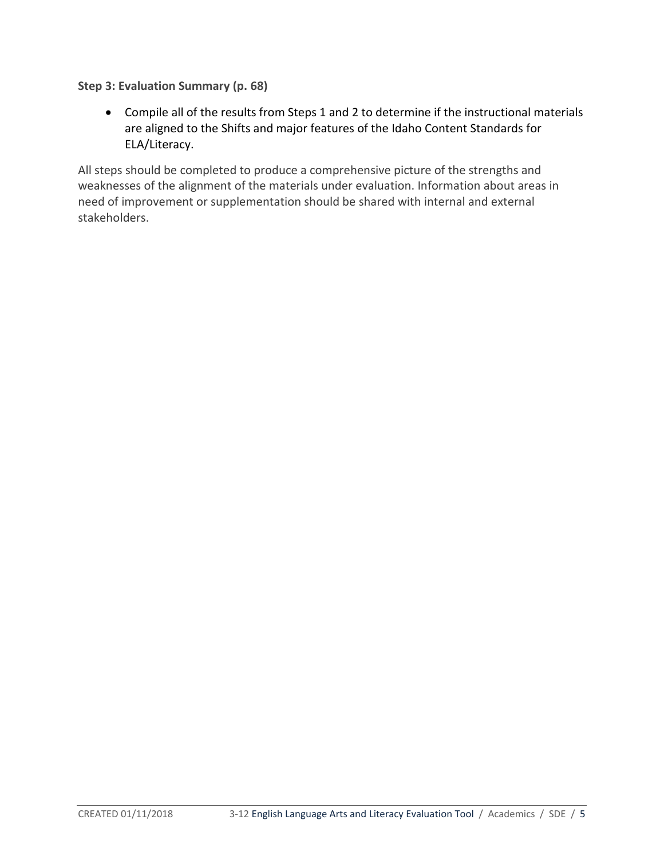**Step 3: Evaluation Summary (p. 68)** 

• Compile all of the results from Steps 1 and 2 to determine if the instructional materials are aligned to the Shifts and major features of the Idaho Content Standards for ELA/Literacy.

All steps should be completed to produce a comprehensive picture of the strengths and weaknesses of the alignment of the materials under evaluation. Information about areas in need of improvement or supplementation should be shared with internal and external stakeholders.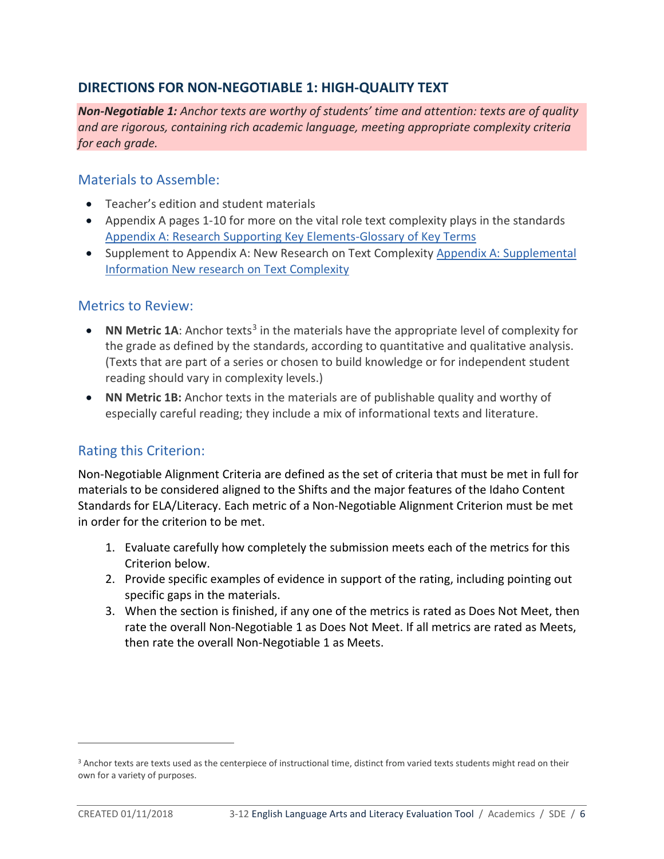# **DIRECTIONS FOR NON-NEGOTIABLE 1: HIGH-QUALITY TEXT**

*Non-Negotiable 1: Anchor texts are worthy of students' time and attention: texts are of quality and are rigorous, containing rich academic language, meeting appropriate complexity criteria for each grade.*

# Materials to Assemble:

- Teacher's edition and student materials
- Appendix A pages 1-10 for more on the vital role text complexity plays in the standards [Appendix A: Research Supporting Key Elements-Glossary of Key Terms](http://www.corestandards.org/assets/Appendix_A.pdf)
- Supplement to Appendix A: New Research on Text Complexity [Appendix A: Supplemental](http://www.corestandards.org/assets/E0813_Appendix_A_New_Research_on_Text_Complexity.pdf)  [Information New research on Text Complexity](http://www.corestandards.org/assets/E0813_Appendix_A_New_Research_on_Text_Complexity.pdf)

# Metrics to Review:

- **NN Metric 1A**: Anchor texts<sup>[3](#page-5-0)</sup> in the materials have the appropriate level of complexity for the grade as defined by the standards, according to quantitative and qualitative analysis. (Texts that are part of a series or chosen to build knowledge or for independent student reading should vary in complexity levels.)
- **NN Metric 1B:** Anchor texts in the materials are of publishable quality and worthy of especially careful reading; they include a mix of informational texts and literature.

# Rating this Criterion:

Non-Negotiable Alignment Criteria are defined as the set of criteria that must be met in full for materials to be considered aligned to the Shifts and the major features of the Idaho Content Standards for ELA/Literacy. Each metric of a Non-Negotiable Alignment Criterion must be met in order for the criterion to be met.

- 1. Evaluate carefully how completely the submission meets each of the metrics for this Criterion below.
- 2. Provide specific examples of evidence in support of the rating, including pointing out specific gaps in the materials.
- 3. When the section is finished, if any one of the metrics is rated as Does Not Meet, then rate the overall Non-Negotiable 1 as Does Not Meet. If all metrics are rated as Meets, then rate the overall Non-Negotiable 1 as Meets.

 $\overline{a}$ 

<span id="page-5-0"></span><sup>3</sup> Anchor texts are texts used as the centerpiece of instructional time, distinct from varied texts students might read on their own for a variety of purposes.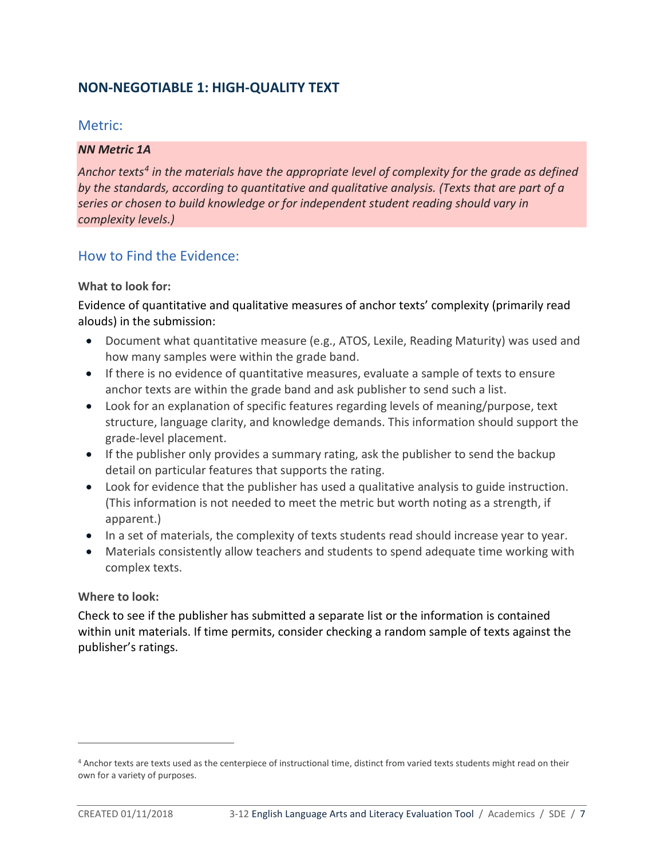# **NON-NEGOTIABLE 1: HIGH-QUALITY TEXT**

## Metric:

#### *NN Metric 1A*

*Anchor texts[4](#page-6-0) in the materials have the appropriate level of complexity for the grade as defined by the standards, according to quantitative and qualitative analysis. (Texts that are part of a series or chosen to build knowledge or for independent student reading should vary in complexity levels.)* 

# How to Find the Evidence:

#### **What to look for:**

Evidence of quantitative and qualitative measures of anchor texts' complexity (primarily read alouds) in the submission:

- Document what quantitative measure (e.g., ATOS, Lexile, Reading Maturity) was used and how many samples were within the grade band.
- If there is no evidence of quantitative measures, evaluate a sample of texts to ensure anchor texts are within the grade band and ask publisher to send such a list.
- Look for an explanation of specific features regarding levels of meaning/purpose, text structure, language clarity, and knowledge demands. This information should support the grade-level placement.
- If the publisher only provides a summary rating, ask the publisher to send the backup detail on particular features that supports the rating.
- Look for evidence that the publisher has used a qualitative analysis to guide instruction. (This information is not needed to meet the metric but worth noting as a strength, if apparent.)
- In a set of materials, the complexity of texts students read should increase year to year.
- Materials consistently allow teachers and students to spend adequate time working with complex texts.

#### **Where to look:**

Check to see if the publisher has submitted a separate list or the information is contained within unit materials. If time permits, consider checking a random sample of texts against the publisher's ratings.

 $\overline{a}$ 

<span id="page-6-0"></span><sup>4</sup> Anchor texts are texts used as the centerpiece of instructional time, distinct from varied texts students might read on their own for a variety of purposes.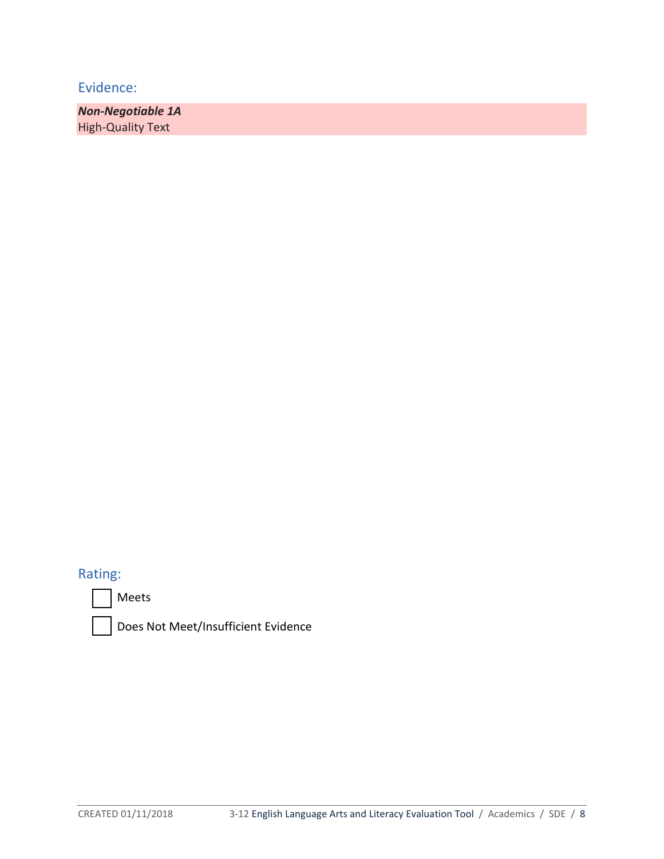*Non-Negotiable 1A* High-Quality Text

# Rating:





Does Not Meet/Insufficient Evidence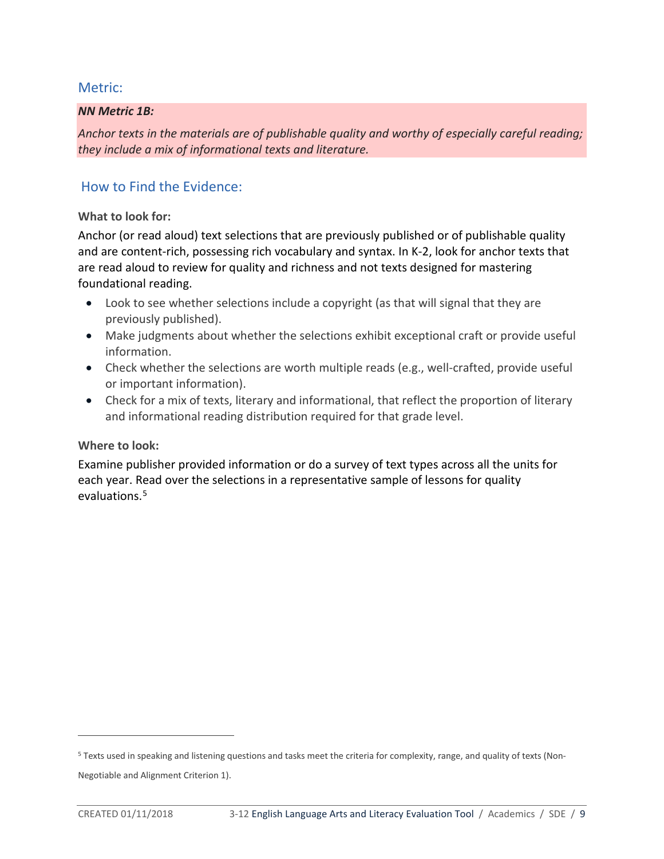#### *NN Metric 1B:*

*Anchor texts in the materials are of publishable quality and worthy of especially careful reading; they include a mix of informational texts and literature.*

# How to Find the Evidence:

#### **What to look for:**

Anchor (or read aloud) text selections that are previously published or of publishable quality and are content-rich, possessing rich vocabulary and syntax. In K-2, look for anchor texts that are read aloud to review for quality and richness and not texts designed for mastering foundational reading.

- Look to see whether selections include a copyright (as that will signal that they are previously published).
- Make judgments about whether the selections exhibit exceptional craft or provide useful information.
- Check whether the selections are worth multiple reads (e.g., well-crafted, provide useful or important information).
- Check for a mix of texts, literary and informational, that reflect the proportion of literary and informational reading distribution required for that grade level.

## **Where to look:**

Examine publisher provided information or do a survey of text types across all the units for each year. Read over the selections in a representative sample of lessons for quality evaluations.<sup>[5](#page-8-0)</sup>

Negotiable and Alignment Criterion 1).

 $\overline{a}$ 

<span id="page-8-0"></span><sup>5</sup> Texts used in speaking and listening questions and tasks meet the criteria for complexity, range, and quality of texts (Non-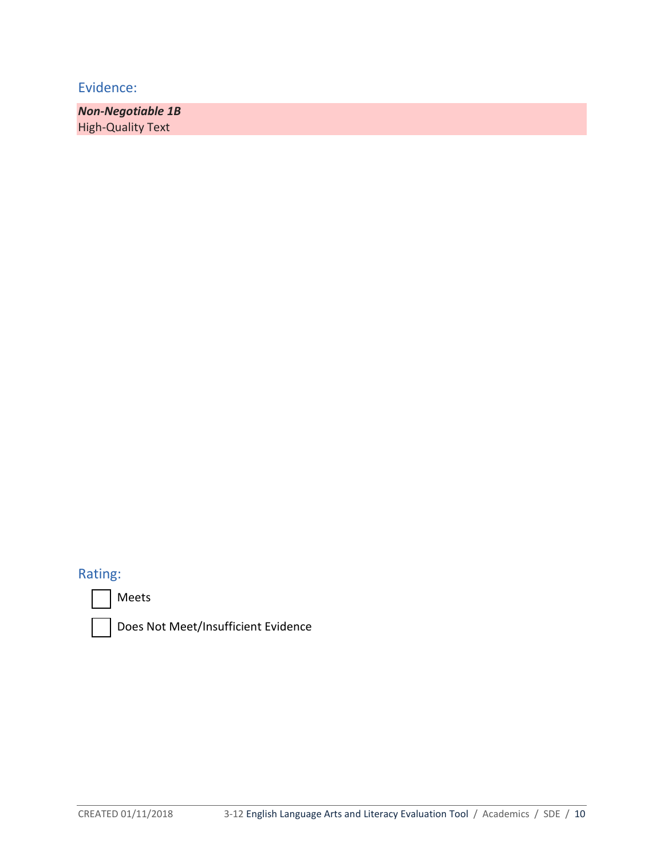*Non-Negotiable 1B*  High-Quality Text

# Rating:





Does Not Meet/Insufficient Evidence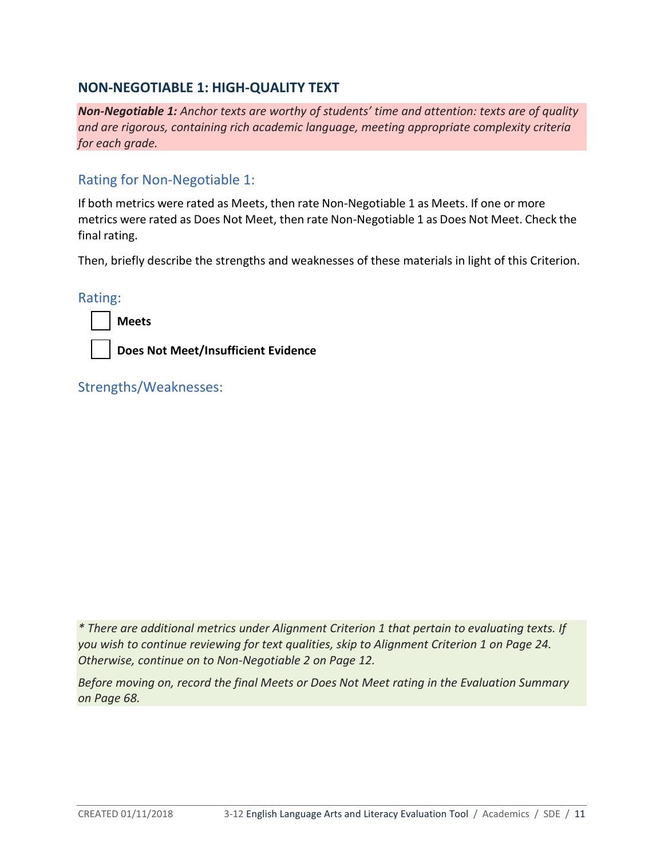# **NON-NEGOTIABLE 1: HIGH-QUALITY TEXT**

*Non-Negotiable 1: Anchor texts are worthy of students' time and attention: texts are of quality and are rigorous, containing rich academic language, meeting appropriate complexity criteria for each grade.* 

# Rating for Non-Negotiable 1:

If both metrics were rated as Meets, then rate Non-Negotiable 1 as Meets. If one or more metrics were rated as Does Not Meet, then rate Non-Negotiable 1 as Does Not Meet. Check the final rating.

Then, briefly describe the strengths and weaknesses of these materials in light of this Criterion.

Rating:

**Meets**

**Does Not Meet/Insufficient Evidence**

Strengths/Weaknesses:

*\* There are additional metrics under Alignment Criterion 1 that pertain to evaluating texts. If you wish to continue reviewing for text qualities, skip to Alignment Criterion 1 on Page 24. Otherwise, continue on to Non-Negotiable 2 on Page 12.* 

*Before moving on, record the final Meets or Does Not Meet rating in the Evaluation Summary on Page 68.*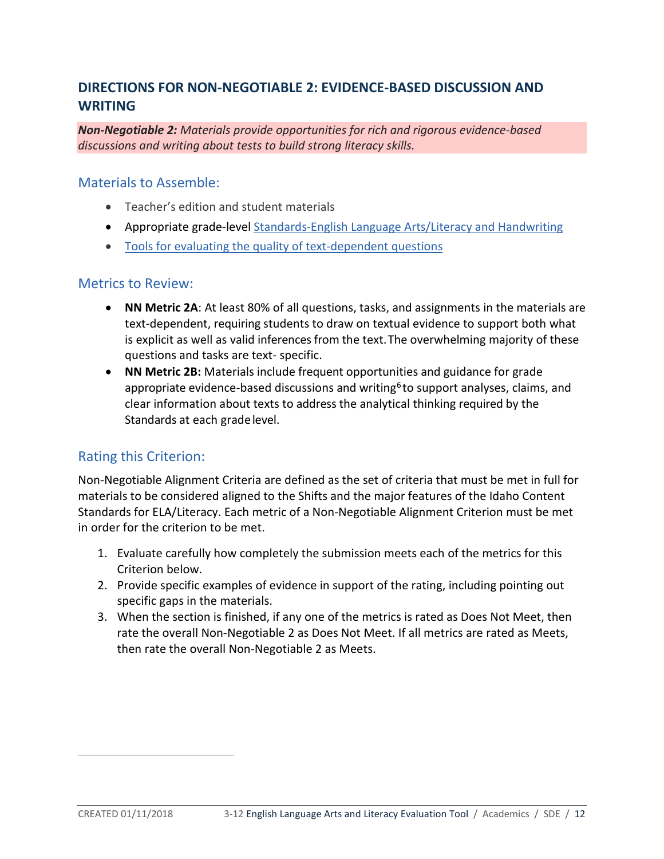# **DIRECTIONS FOR NON-NEGOTIABLE 2: EVIDENCE-BASED DISCUSSION AND WRITING**

*Non-Negotiable 2: Materials provide opportunities for rich and rigorous evidence-based discussions and writing about tests to build strong literacy skills.*

#### Materials to Assemble:

- Teacher's edition and student materials
- Appropriate grade-level [Standards-English Language Arts/Literacy and Handwriting](http://www.sde.idaho.gov/academic/shared/ela-literacy/booklets/ELA-Literacy-Standards.pdf)
- [Tools for evaluating the quality of text-dependent questions](http://achievethecore.org/page/710/text-dependent-question-resources)

#### Metrics to Review:

- **NN Metric 2A**: At least 80% of all questions, tasks, and assignments in the materials are text-dependent, requiring students to draw on textual evidence to support both what is explicit as well as valid inferences from the text.The overwhelming majority of these questions and tasks are text- specific.
- **NN Metric 2B:** Materials include frequent opportunities and guidance for grade appropriate evidence-based discussions and writing<sup>[6](#page-11-0)</sup> to support analyses, claims, and clear information about texts to address the analytical thinking required by the Standards at each gradelevel.

# Rating this Criterion:

Non-Negotiable Alignment Criteria are defined as the set of criteria that must be met in full for materials to be considered aligned to the Shifts and the major features of the Idaho Content Standards for ELA/Literacy. Each metric of a Non-Negotiable Alignment Criterion must be met in order for the criterion to be met.

- 1. Evaluate carefully how completely the submission meets each of the metrics for this Criterion below.
- 2. Provide specific examples of evidence in support of the rating, including pointing out specific gaps in the materials.
- 3. When the section is finished, if any one of the metrics is rated as Does Not Meet, then rate the overall Non-Negotiable 2 as Does Not Meet. If all metrics are rated as Meets, then rate the overall Non-Negotiable 2 as Meets.

<span id="page-11-0"></span> $\overline{a}$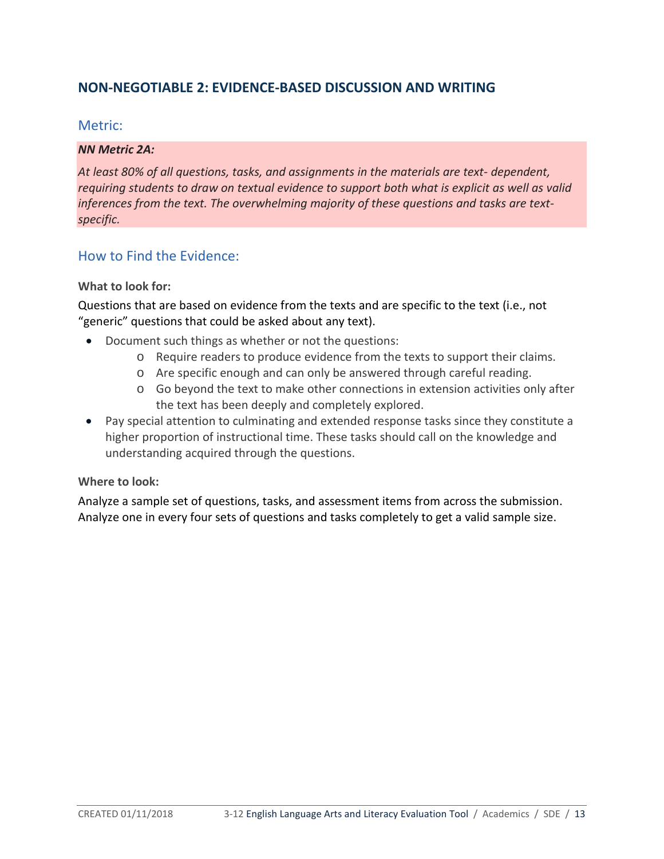# **NON-NEGOTIABLE 2: EVIDENCE-BASED DISCUSSION AND WRITING**

## Metric:

#### *NN Metric 2A:*

*At least 80% of all questions, tasks, and assignments in the materials are text- dependent, requiring students to draw on textual evidence to support both what is explicit as well as valid inferences from the text. The overwhelming majority of these questions and tasks are textspecific.*

## How to Find the Evidence:

#### **What to look for:**

Questions that are based on evidence from the texts and are specific to the text (i.e., not "generic" questions that could be asked about any text).

- Document such things as whether or not the questions:
	- o Require readers to produce evidence from the texts to support their claims.
	- o Are specific enough and can only be answered through careful reading.
	- o Go beyond the text to make other connections in extension activities only after the text has been deeply and completely explored.
- Pay special attention to culminating and extended response tasks since they constitute a higher proportion of instructional time. These tasks should call on the knowledge and understanding acquired through the questions.

#### **Where to look:**

Analyze a sample set of questions, tasks, and assessment items from across the submission. Analyze one in every four sets of questions and tasks completely to get a valid sample size.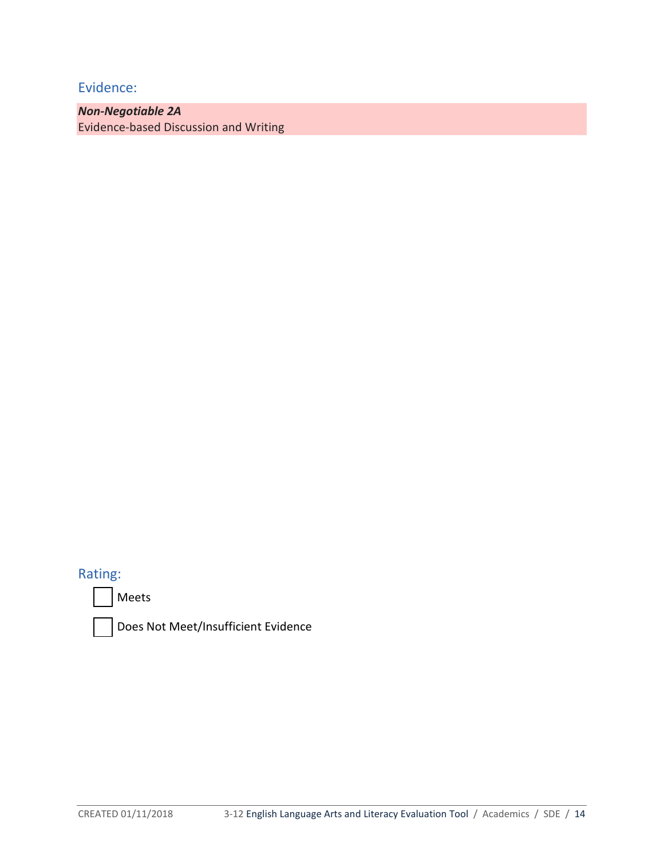*Non-Negotiable 2A* Evidence-based Discussion and Writing

Rating:

Meets



Does Not Meet/Insufficient Evidence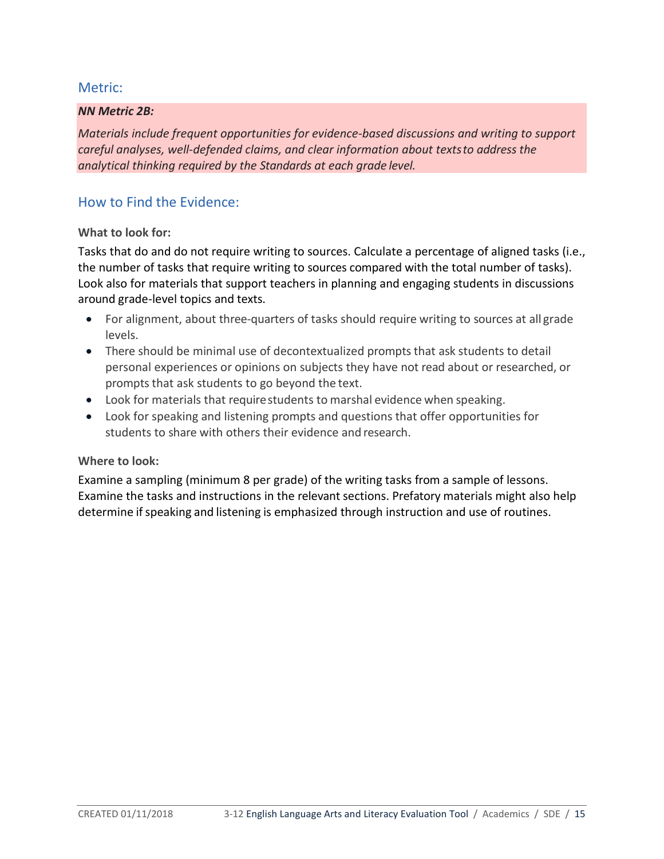#### *NN Metric 2B:*

*Materials include frequent opportunities for evidence-based discussions and writing to support careful analyses, well-defended claims, and clear information about textsto address the analytical thinking required by the Standards at each grade level.*

# How to Find the Evidence:

#### **What to look for:**

Tasks that do and do not require writing to sources. Calculate a percentage of aligned tasks (i.e., the number of tasks that require writing to sources compared with the total number of tasks). Look also for materials that support teachers in planning and engaging students in discussions around grade-level topics and texts.

- For alignment, about three-quarters of tasks should require writing to sources at all grade levels.
- There should be minimal use of decontextualized prompts that ask students to detail personal experiences or opinions on subjects they have not read about or researched, or prompts that ask students to go beyond the text.
- Look for materials that requirestudents to marshal evidence when speaking.
- Look for speaking and listening prompts and questions that offer opportunities for students to share with others their evidence and research.

#### **Where to look:**

Examine a sampling (minimum 8 per grade) of the writing tasks from a sample of lessons. Examine the tasks and instructions in the relevant sections. Prefatory materials might also help determine if speaking and listening is emphasized through instruction and use of routines.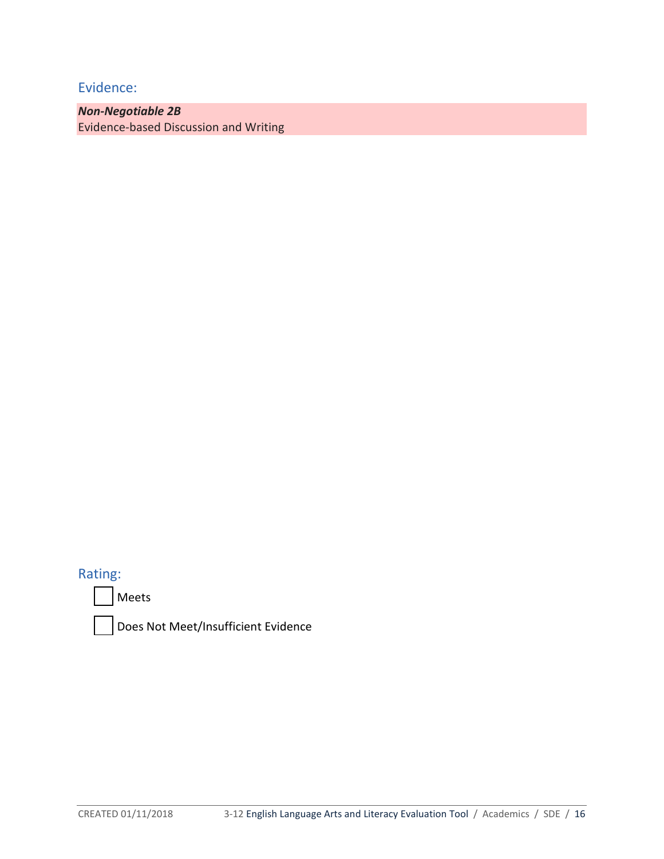*Non-Negotiable 2B* Evidence-based Discussion and Writing

Rating:

Meets



Does Not Meet/Insufficient Evidence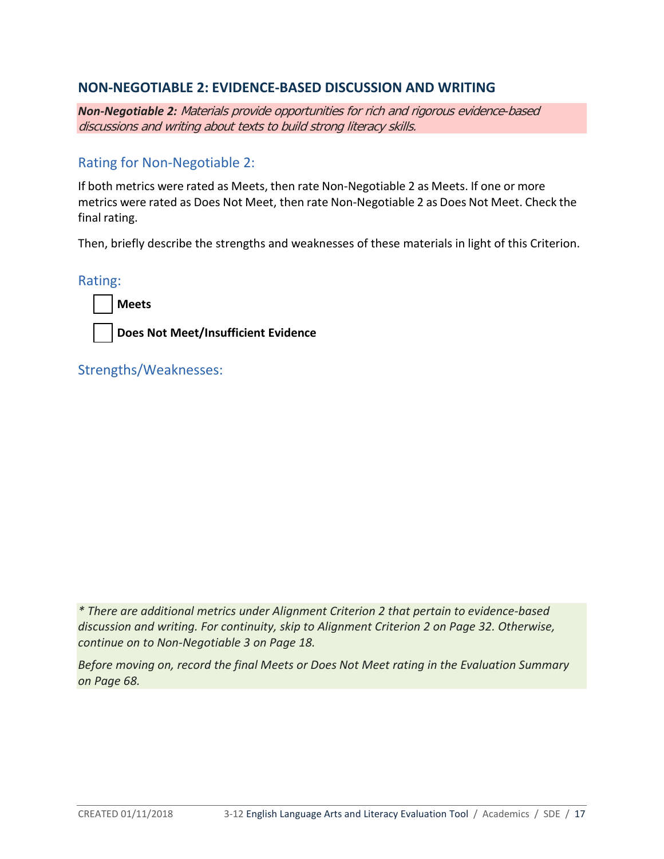# **NON-NEGOTIABLE 2: EVIDENCE-BASED DISCUSSION AND WRITING**

*Non-Negotiable 2:* Materials provide opportunities for rich and rigorous evidence-based discussions and writing about texts to build strong literacy skills.

# Rating for Non-Negotiable 2:

If both metrics were rated as Meets, then rate Non-Negotiable 2 as Meets. If one or more metrics were rated as Does Not Meet, then rate Non-Negotiable 2 as Does Not Meet. Check the final rating.

Then, briefly describe the strengths and weaknesses of these materials in light of this Criterion.

Rating:



**Does Not Meet/Insufficient Evidence**

Strengths/Weaknesses:

*\* There are additional metrics under Alignment Criterion 2 that pertain to evidence-based discussion and writing. For continuity, skip to Alignment Criterion 2 on Page 32. Otherwise, continue on to Non-Negotiable 3 on Page 18.* 

*Before moving on, record the final Meets or Does Not Meet rating in the Evaluation Summary on Page 68.*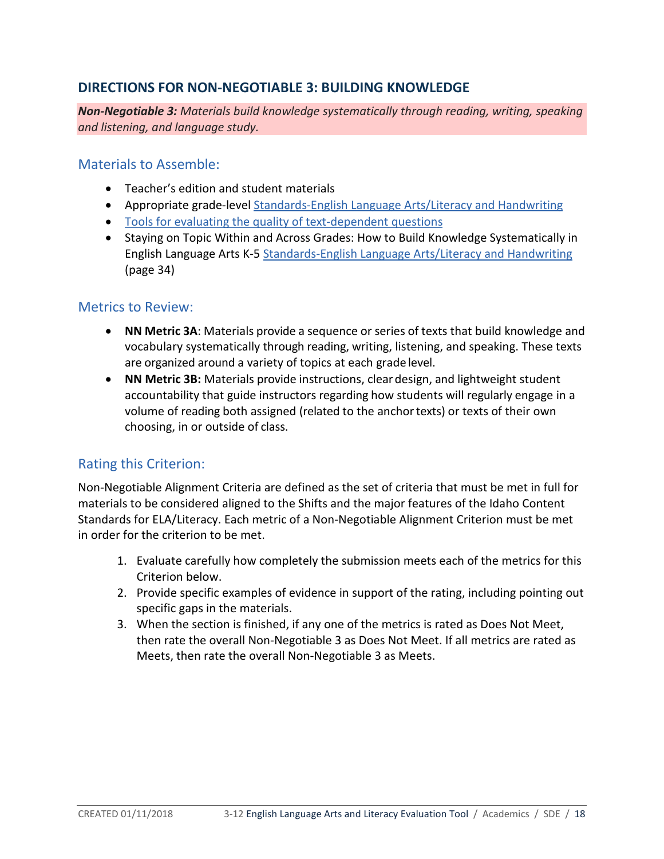# **DIRECTIONS FOR NON-NEGOTIABLE 3: BUILDING KNOWLEDGE**

*Non-Negotiable 3: Materials build knowledge systematically through reading, writing, speaking and listening, and language study.*

## Materials to Assemble:

- Teacher's edition and student materials
- Appropriate grade-level [Standards-English Language Arts/Literacy and Handwriting](http://www.sde.idaho.gov/academic/shared/ela-literacy/booklets/ELA-Literacy-Standards.pdf)
- [Tools for evaluating the quality of text-dependent questions](http://achievethecore.org/page/710/text-dependent-question-resources)
- Staying on Topic Within and Across Grades: How to Build Knowledge Systematically in English Language Arts K-5 [Standards-English Language Arts/Literacy and Handwriting](http://www.sde.idaho.gov/academic/shared/ela-literacy/booklets/ELA-Literacy-Standards.pdf) (page 34)

## Metrics to Review:

- **NN Metric 3A**: Materials provide a sequence or series of texts that build knowledge and vocabulary systematically through reading, writing, listening, and speaking. These texts are organized around a variety of topics at each grade level.
- **NN Metric 3B:** Materials provide instructions, cleardesign, and lightweight student accountability that guide instructors regarding how students will regularly engage in a volume of reading both assigned (related to the anchor texts) or texts of their own choosing, in or outside of class.

# Rating this Criterion:

Non-Negotiable Alignment Criteria are defined as the set of criteria that must be met in full for materials to be considered aligned to the Shifts and the major features of the Idaho Content Standards for ELA/Literacy. Each metric of a Non-Negotiable Alignment Criterion must be met in order for the criterion to be met.

- 1. Evaluate carefully how completely the submission meets each of the metrics for this Criterion below.
- 2. Provide specific examples of evidence in support of the rating, including pointing out specific gaps in the materials.
- 3. When the section is finished, if any one of the metrics is rated as Does Not Meet, then rate the overall Non-Negotiable 3 as Does Not Meet. If all metrics are rated as Meets, then rate the overall Non-Negotiable 3 as Meets.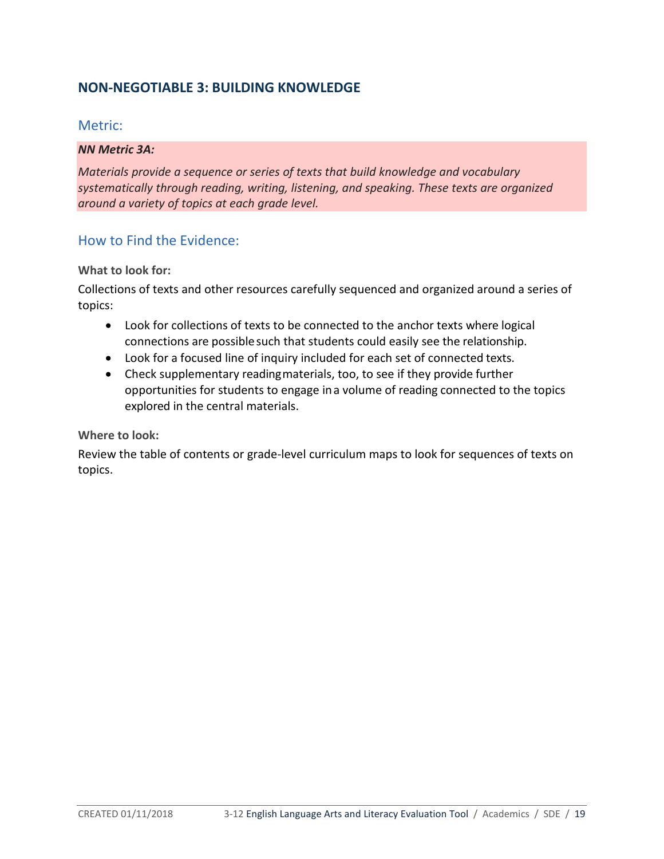# **NON-NEGOTIABLE 3: BUILDING KNOWLEDGE**

## Metric:

#### *NN Metric 3A:*

*Materials provide a sequence or series of texts that build knowledge and vocabulary systematically through reading, writing, listening, and speaking. These texts are organized around a variety of topics at each grade level.*

# How to Find the Evidence:

#### **What to look for:**

Collections of texts and other resources carefully sequenced and organized around a series of topics:

- Look for collections of texts to be connected to the anchor texts where logical connections are possible such that students could easily see the relationship.
- Look for a focused line of inquiry included for each set of connected texts.
- Check supplementary readingmaterials, too, to see if they provide further opportunities for students to engage ina volume of reading connected to the topics explored in the central materials.

#### **Where to look:**

Review the table of contents or grade-level curriculum maps to look for sequences of texts on topics.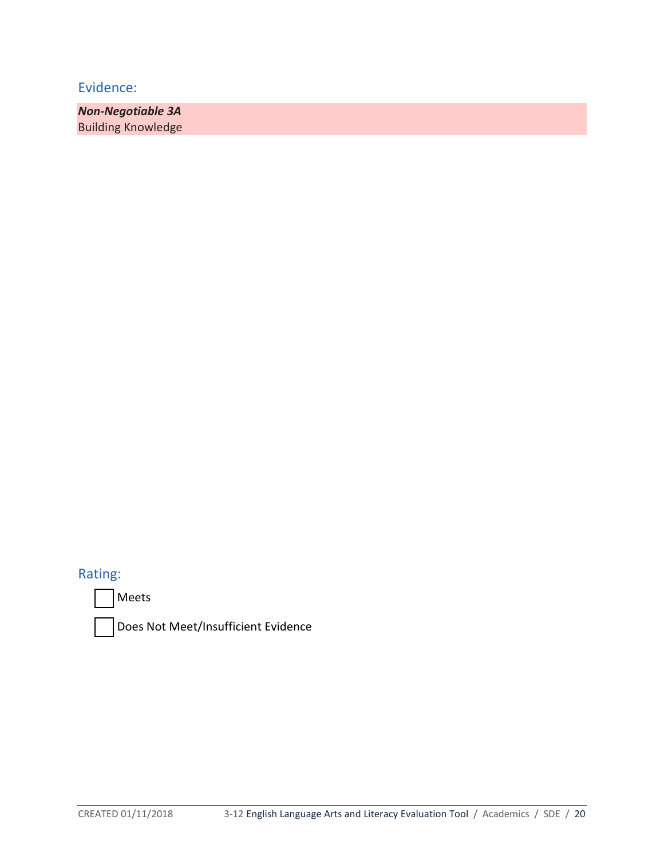*Non-Negotiable 3A*  Building Knowledge

Rating:

Meets



Does Not Meet/Insufficient Evidence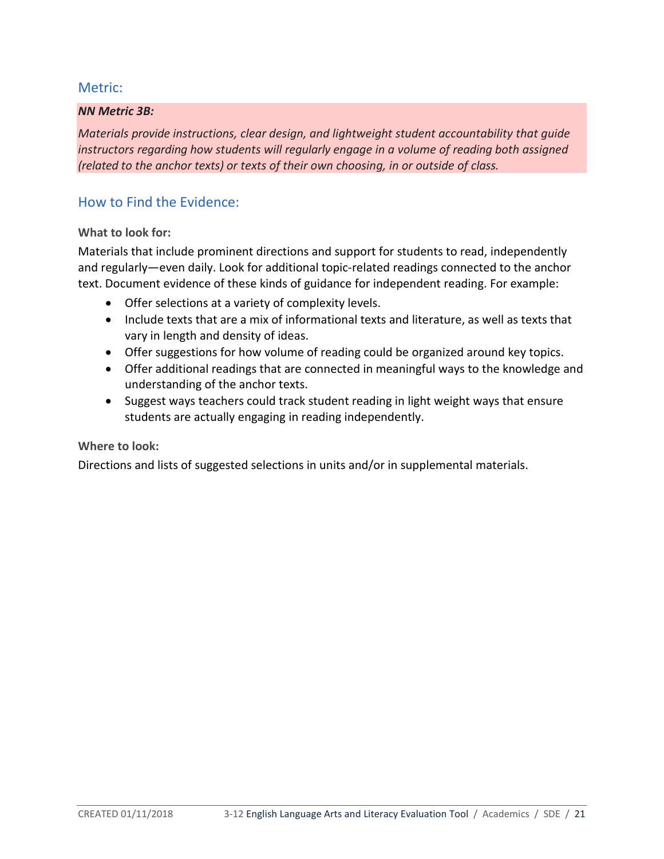#### *NN Metric 3B:*

*Materials provide instructions, clear design, and lightweight student accountability that guide instructors regarding how students will regularly engage in a volume of reading both assigned (related to the anchor texts) or texts of their own choosing, in or outside of class.*

# How to Find the Evidence:

#### **What to look for:**

Materials that include prominent directions and support for students to read, independently and regularly—even daily. Look for additional topic-related readings connected to the anchor text. Document evidence of these kinds of guidance for independent reading. For example:

- Offer selections at a variety of complexity levels.
- Include texts that are a mix of informational texts and literature, as well as texts that vary in length and density of ideas.
- Offer suggestions for how volume of reading could be organized around key topics.
- Offer additional readings that are connected in meaningful ways to the knowledge and understanding of the anchor texts.
- Suggest ways teachers could track student reading in light weight ways that ensure students are actually engaging in reading independently.

#### **Where to look:**

Directions and lists of suggested selections in units and/or in supplemental materials.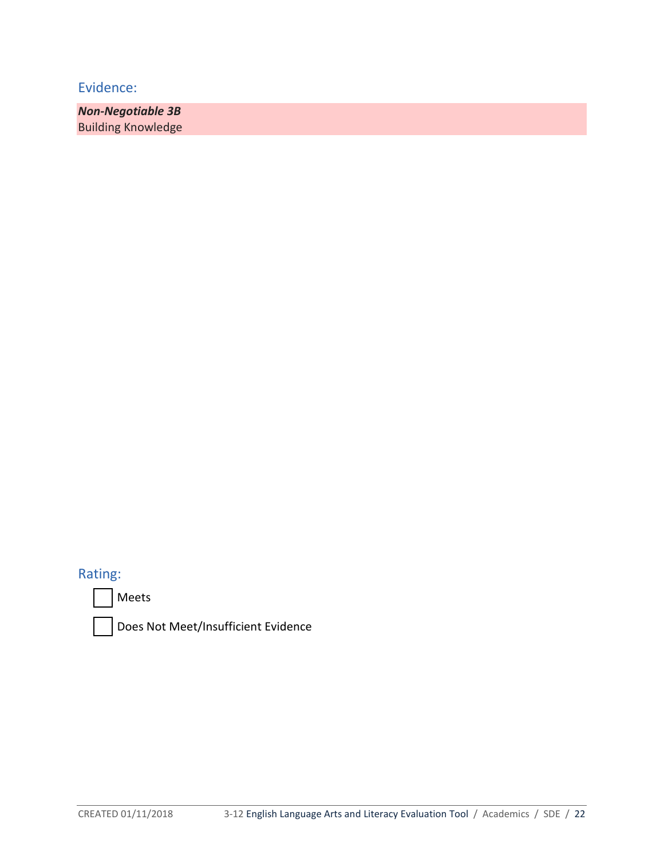*Non-Negotiable 3B* Building Knowledge

# Rating:





Does Not Meet/Insufficient Evidence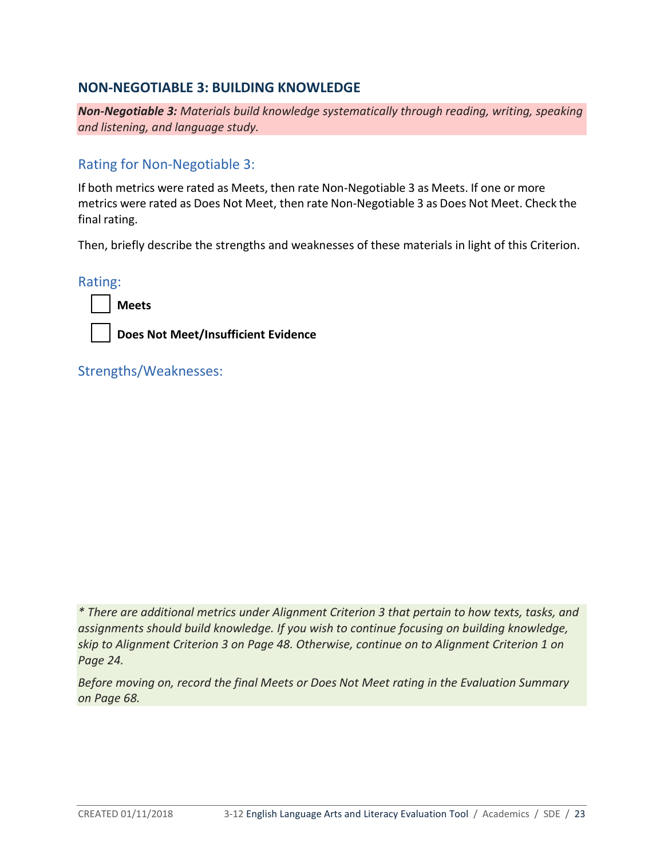# **NON-NEGOTIABLE 3: BUILDING KNOWLEDGE**

*Non-Negotiable 3: Materials build knowledge systematically through reading, writing, speaking and listening, and language study.*

# Rating for Non-Negotiable 3:

If both metrics were rated as Meets, then rate Non-Negotiable 3 as Meets. If one or more metrics were rated as Does Not Meet, then rate Non-Negotiable 3 as Does Not Meet. Check the final rating.

Then, briefly describe the strengths and weaknesses of these materials in light of this Criterion.

Rating:



**Does Not Meet/Insufficient Evidence**

Strengths/Weaknesses:

*\* There are additional metrics under Alignment Criterion 3 that pertain to how texts, tasks, and assignments should build knowledge. If you wish to continue focusing on building knowledge, skip to Alignment Criterion 3 on Page 48. Otherwise, continue on to Alignment Criterion 1 on Page 24.* 

*Before moving on, record the final Meets or Does Not Meet rating in the Evaluation Summary on Page 68.*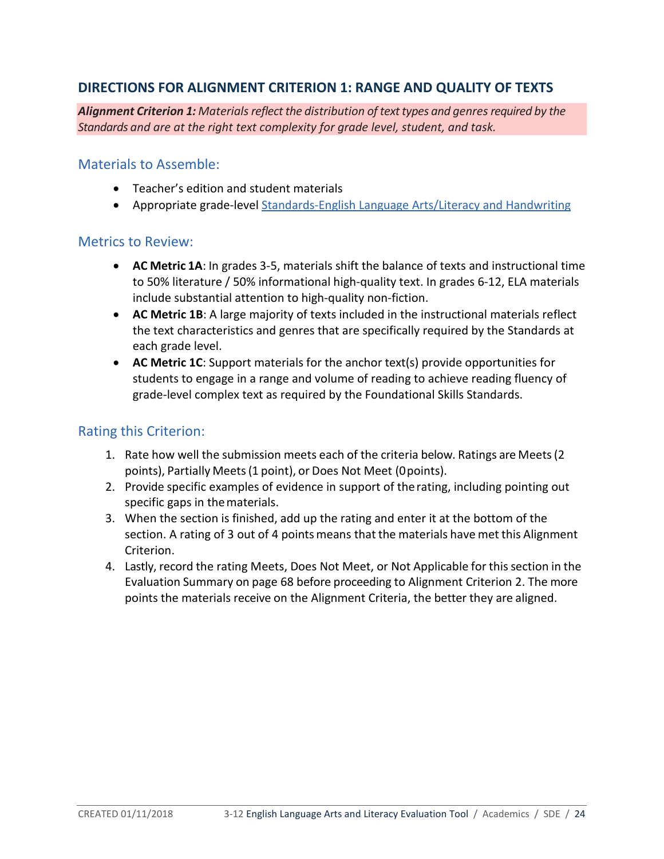# **DIRECTIONS FOR ALIGNMENT CRITERION 1: RANGE AND QUALITY OF TEXTS**

*Alignment Criterion 1: Materialsreflect the distribution of texttypes and genresrequired by the Standards and are at the right text complexity for grade level, student, and task.*

#### Materials to Assemble:

- Teacher's edition and student materials
- Appropriate grade-level [Standards-English Language Arts/Literacy and Handwriting](http://www.sde.idaho.gov/academic/shared/ela-literacy/booklets/ELA-Literacy-Standards.pdf)

#### Metrics to Review:

- **AC Metric 1A**: In grades 3-5, materials shift the balance of texts and instructional time to 50% literature / 50% informational high-quality text. In grades 6-12, ELA materials include substantial attention to high-quality non-fiction.
- **AC Metric 1B**: A large majority of texts included in the instructional materials reflect the text characteristics and genres that are specifically required by the Standards at each grade level.
- **AC Metric 1C**: Support materials for the anchor text(s) provide opportunities for students to engage in a range and volume of reading to achieve reading fluency of grade-level complex text as required by the Foundational Skills Standards.

## Rating this Criterion:

- 1. Rate how well the submission meets each of the criteria below. Ratings are Meets(2 points), Partially Meets(1 point), or Does Not Meet (0points).
- 2. Provide specific examples of evidence in support of therating, including pointing out specific gaps in thematerials.
- 3. When the section is finished, add up the rating and enter it at the bottom of the section. A rating of 3 out of 4 points means that the materials have met this Alignment Criterion.
- 4. Lastly, record the rating Meets, Does Not Meet, or Not Applicable for thissection in the Evaluation Summary on page 68 before proceeding to Alignment Criterion 2. The more points the materials receive on the Alignment Criteria, the better they are aligned.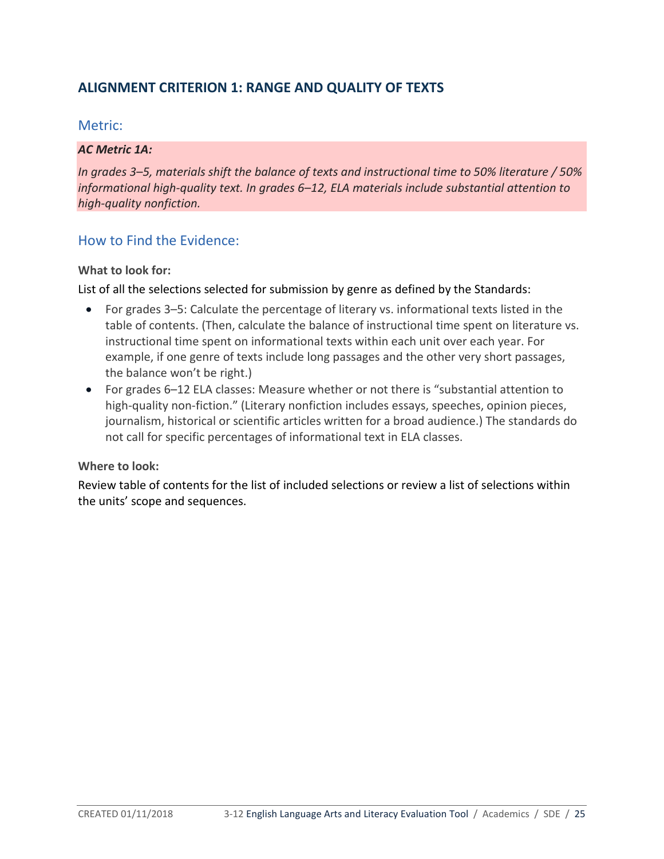# **ALIGNMENT CRITERION 1: RANGE AND QUALITY OF TEXTS**

## Metric:

#### *AC Metric 1A:*

*In grades 3–5, materials shift the balance of texts and instructional time to 50% literature / 50% informational high-quality text. In grades 6–12, ELA materials include substantial attention to high-quality nonfiction.*

# How to Find the Evidence:

#### **What to look for:**

List of all the selections selected for submission by genre as defined by the Standards:

- For grades 3–5: Calculate the percentage of literary vs. informational texts listed in the table of contents. (Then, calculate the balance of instructional time spent on literature vs. instructional time spent on informational texts within each unit over each year. For example, if one genre of texts include long passages and the other very short passages, the balance won't be right.)
- For grades 6–12 ELA classes: Measure whether or not there is "substantial attention to high-quality non-fiction." (Literary nonfiction includes essays, speeches, opinion pieces, journalism, historical or scientific articles written for a broad audience.) The standards do not call for specific percentages of informational text in ELA classes.

#### **Where to look:**

Review table of contents for the list of included selections or review a list of selections within the units' scope and sequences.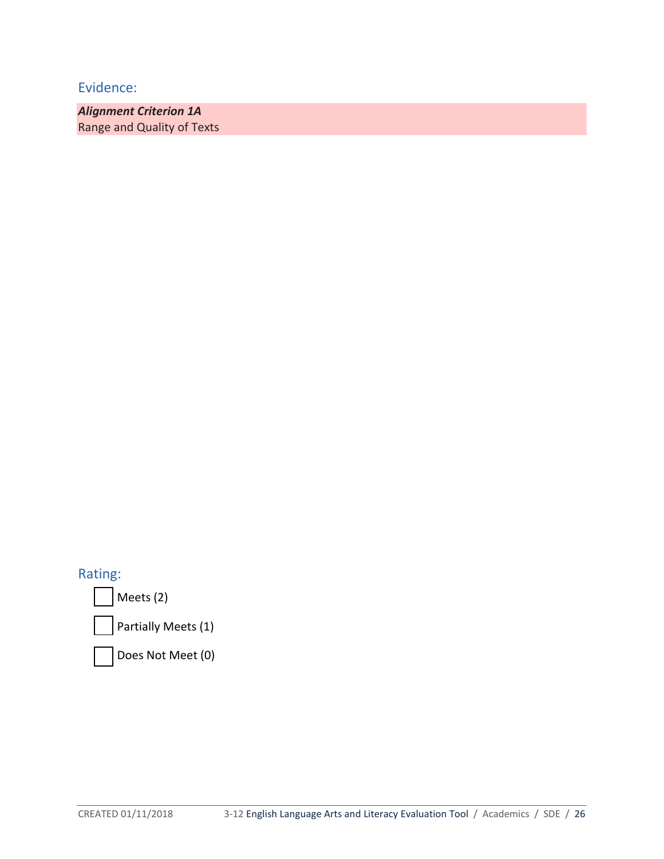*Alignment Criterion 1A* Range and Quality of Texts

Rating:

Meets (2)

Partially Meets (1)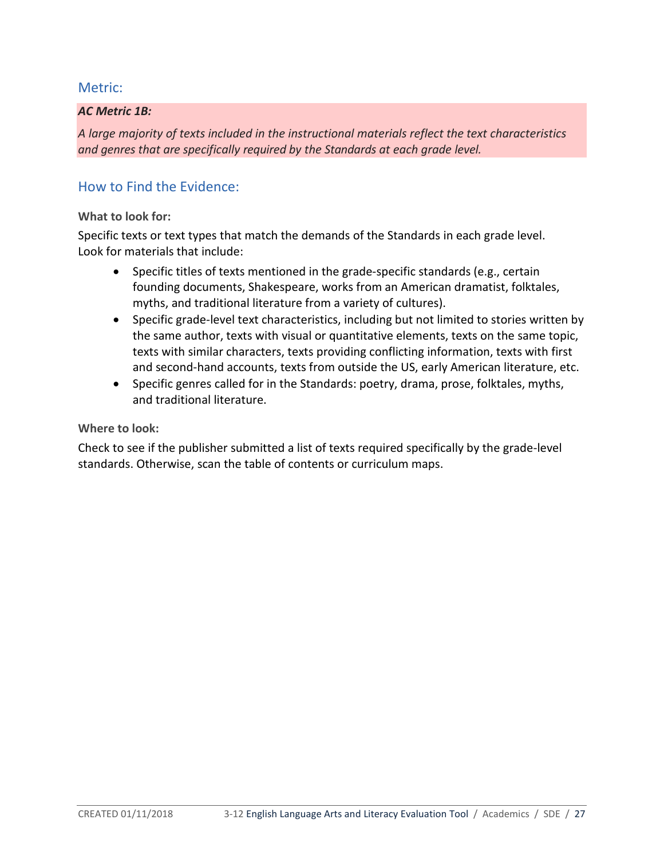#### *AC Metric 1B:*

*A large majority of texts included in the instructional materials reflect the text characteristics and genres that are specifically required by the Standards at each grade level.*

# How to Find the Evidence:

#### **What to look for:**

Specific texts or text types that match the demands of the Standards in each grade level. Look for materials that include:

- Specific titles of texts mentioned in the grade-specific standards (e.g., certain founding documents, Shakespeare, works from an American dramatist, folktales, myths, and traditional literature from a variety of cultures).
- Specific grade-level text characteristics, including but not limited to stories written by the same author, texts with visual or quantitative elements, texts on the same topic, texts with similar characters, texts providing conflicting information, texts with first and second-hand accounts, texts from outside the US, early American literature, etc.
- Specific genres called for in the Standards: poetry, drama, prose, folktales, myths, and traditional literature.

#### **Where to look:**

Check to see if the publisher submitted a list of texts required specifically by the grade-level standards. Otherwise, scan the table of contents or curriculum maps.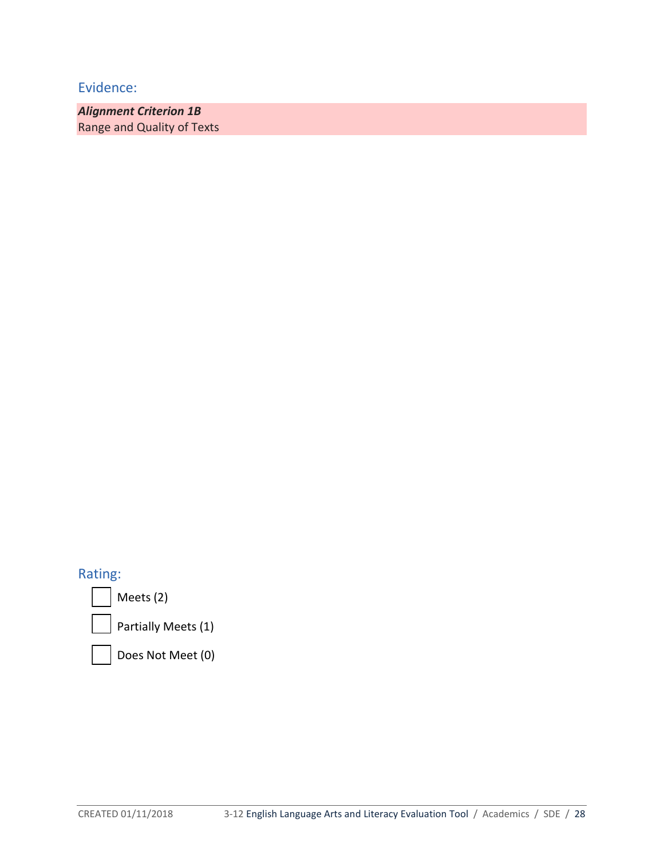*Alignment Criterion 1B* Range and Quality of Texts

# Rating:

Meets (2)

Partially Meets (1)

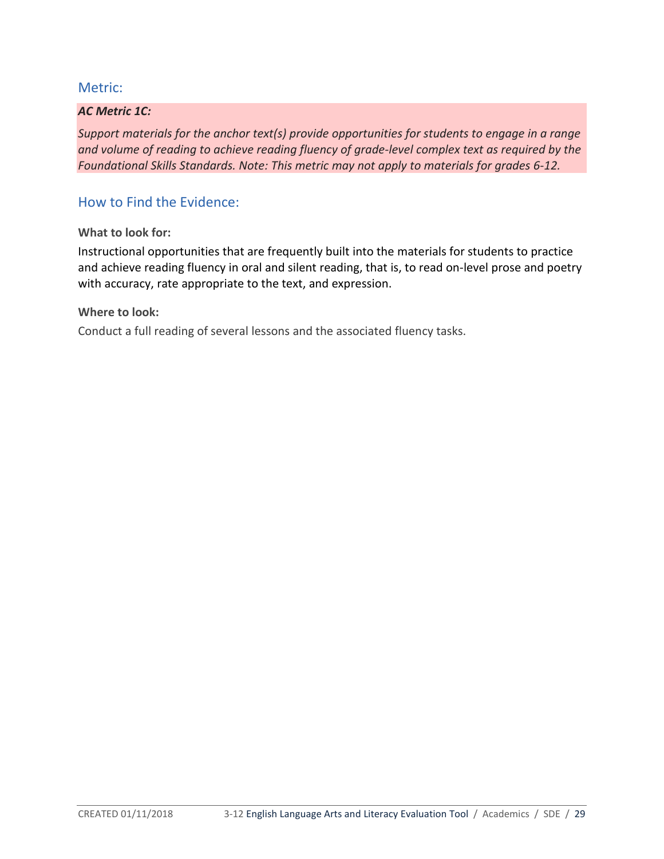#### *AC Metric 1C:*

*Support materials for the anchor text(s) provide opportunities for students to engage in a range and volume of reading to achieve reading fluency of grade-level complex text as required by the Foundational Skills Standards. Note: This metric may not apply to materials for grades 6-12.* 

## How to Find the Evidence:

**What to look for:** 

Instructional opportunities that are frequently built into the materials for students to practice and achieve reading fluency in oral and silent reading, that is, to read on-level prose and poetry with accuracy, rate appropriate to the text, and expression.

**Where to look:** 

Conduct a full reading of several lessons and the associated fluency tasks.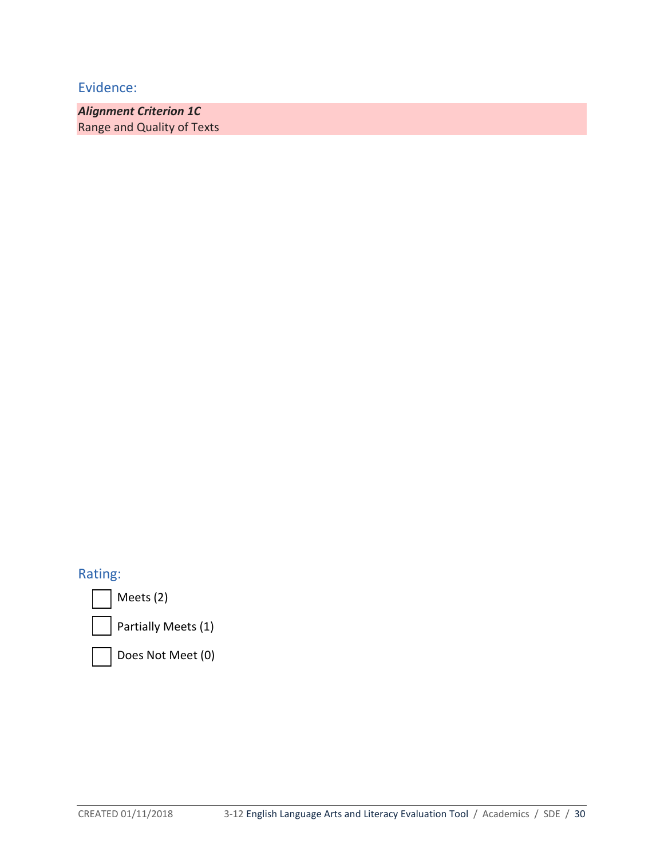*Alignment Criterion 1C* Range and Quality of Texts

# Rating:

Meets (2)

Partially Meets (1)

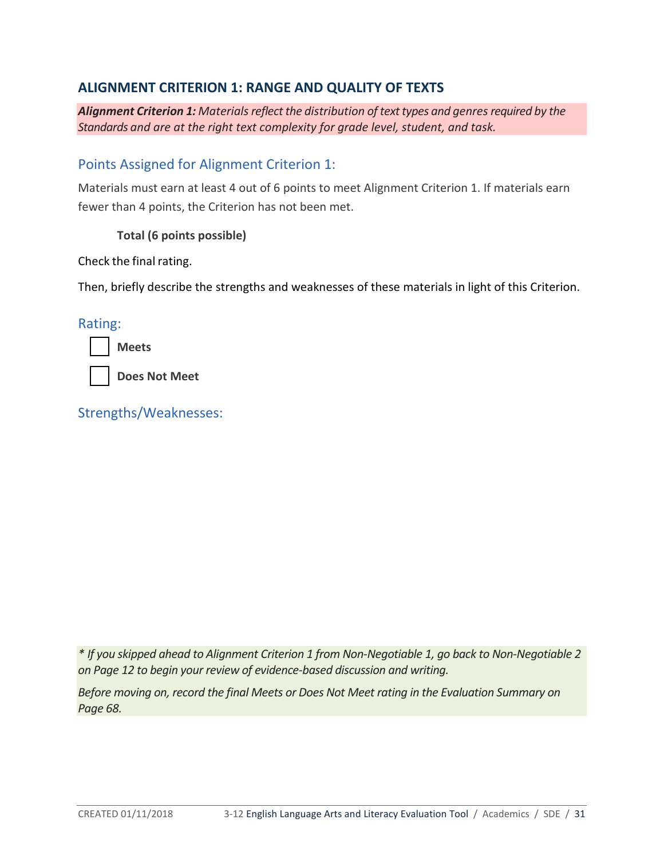# **ALIGNMENT CRITERION 1: RANGE AND QUALITY OF TEXTS**

*Alignment Criterion 1: Materialsreflect the distribution of texttypes and genresrequired by the Standards and are at the right text complexity for grade level, student, and task.* 

## Points Assigned for Alignment Criterion 1:

Materials must earn at least 4 out of 6 points to meet Alignment Criterion 1. If materials earn fewer than 4 points, the Criterion has not been met.

**Total (6 points possible)**

Check the final rating.

Then, briefly describe the strengths and weaknesses of these materials in light of this Criterion.

Rating:

| w |
|---|
|---|

**Does Not Meet**

Strengths/Weaknesses:

*\* If you skipped ahead to Alignment Criterion 1 from Non-Negotiable 1, go back to Non-Negotiable 2 on Page 12 to begin your review of evidence-based discussion and writing.*

*Before moving on, record the final Meets or Does Not Meet rating in the Evaluation Summary on Page 68.*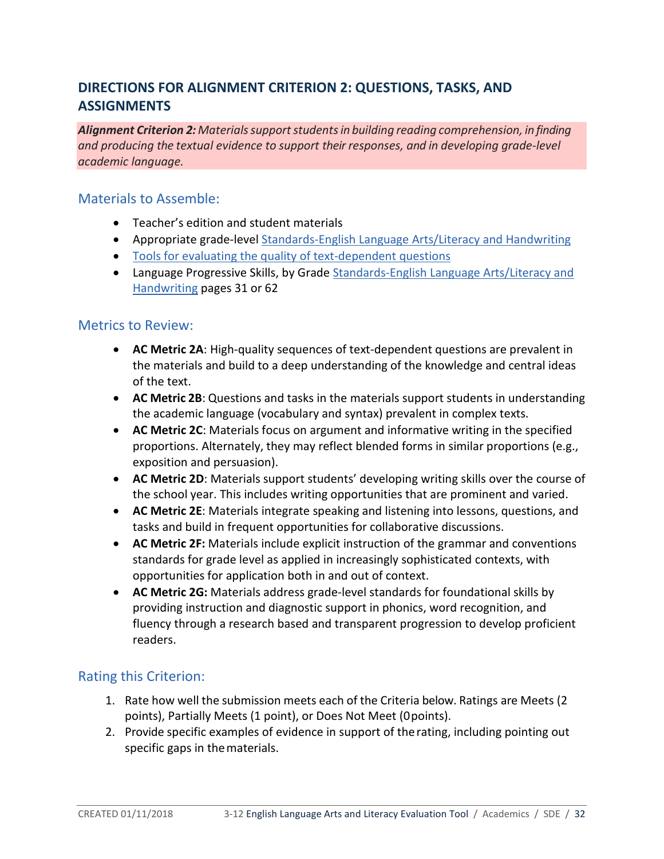# **DIRECTIONS FOR ALIGNMENT CRITERION 2: QUESTIONS, TASKS, AND ASSIGNMENTS**

*Alignment Criterion 2: Materialssupportstudentsin building reading comprehension, in finding and producing the textual evidence to support their responses, and in developing grade-level academic language.* 

## Materials to Assemble:

- Teacher's edition and student materials
- Appropriate grade-level [Standards-English Language Arts/Literacy and Handwriting](http://www.sde.idaho.gov/academic/shared/ela-literacy/booklets/ELA-Literacy-Standards.pdf)
- [Tools for evaluating the quality of text-dependent questions](http://achievethecore.org/page/710/text-dependent-question-resources)
- Language Progressive Skills, by Grade Standards-English Language Arts/Literacy and [Handwriting](http://www.sde.idaho.gov/academic/shared/ela-literacy/booklets/ELA-Literacy-Standards.pdf) pages 31 or 62

## Metrics to Review:

- **AC Metric 2A**: High-quality sequences of text-dependent questions are prevalent in the materials and build to a deep understanding of the knowledge and central ideas of the text.
- **AC Metric 2B**: Questions and tasks in the materials support students in understanding the academic language (vocabulary and syntax) prevalent in complex texts.
- **AC Metric 2C**: Materials focus on argument and informative writing in the specified proportions. Alternately, they may reflect blended forms in similar proportions (e.g., exposition and persuasion).
- **AC Metric 2D**: Materials support students' developing writing skills over the course of the school year. This includes writing opportunities that are prominent and varied.
- **AC Metric 2E**: Materials integrate speaking and listening into lessons, questions, and tasks and build in frequent opportunities for collaborative discussions.
- **AC Metric 2F:** Materials include explicit instruction of the grammar and conventions standards for grade level as applied in increasingly sophisticated contexts, with opportunities for application both in and out of context.
- **AC Metric 2G:** Materials address grade-level standards for foundational skills by providing instruction and diagnostic support in phonics, word recognition, and fluency through a research based and transparent progression to develop proficient readers.

# Rating this Criterion:

- 1. Rate how well the submission meets each of the Criteria below. Ratings are Meets (2 points), Partially Meets (1 point), or Does Not Meet (0points).
- 2. Provide specific examples of evidence in support of therating, including pointing out specific gaps in thematerials.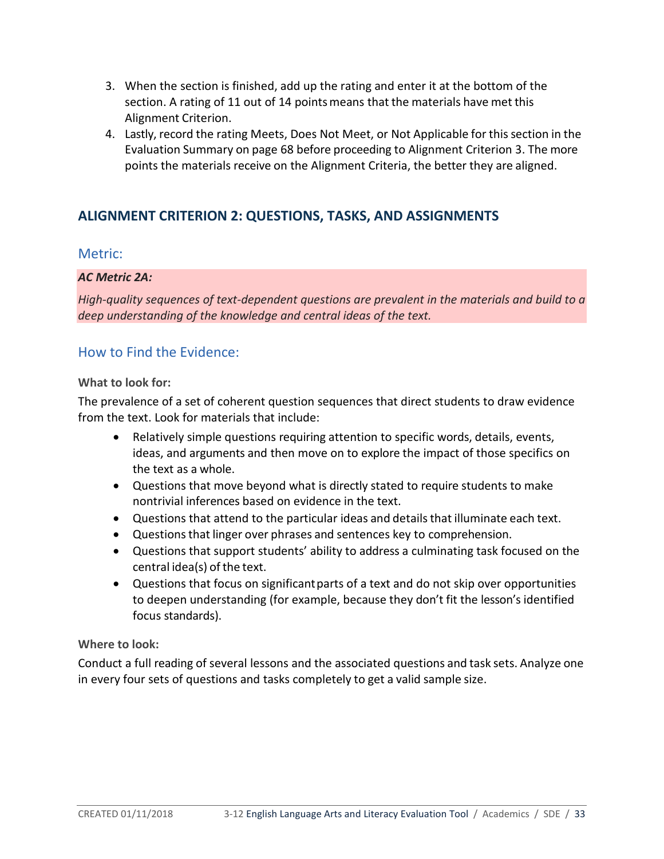- 3. When the section is finished, add up the rating and enter it at the bottom of the section. A rating of 11 out of 14 pointsmeans that the materials have met this Alignment Criterion.
- 4. Lastly, record the rating Meets, Does Not Meet, or Not Applicable for thissection in the Evaluation Summary on page 68 before proceeding to Alignment Criterion 3. The more points the materials receive on the Alignment Criteria, the better they are aligned.

# **ALIGNMENT CRITERION 2: QUESTIONS, TASKS, AND ASSIGNMENTS**

## Metric:

## *AC Metric 2A:*

*High-quality sequences of text-dependent questions are prevalent in the materials and build to a deep understanding of the knowledge and central ideas of the text.*

# How to Find the Evidence:

#### **What to look for:**

The prevalence of a set of coherent question sequences that direct students to draw evidence from the text. Look for materials that include:

- Relatively simple questions requiring attention to specific words, details, events, ideas, and arguments and then move on to explore the impact of those specifics on the text as a whole.
- Questions that move beyond what is directly stated to require students to make nontrivial inferences based on evidence in the text.
- Questions that attend to the particular ideas and detailsthat illuminate each text.
- Questions that linger over phrases and sentences key to comprehension.
- Questions that support students' ability to address a culminating task focused on the central idea(s) of the text.
- Questions that focus on significantparts of a text and do not skip over opportunities to deepen understanding (for example, because they don't fit the lesson's identified focus standards).

## **Where to look:**

Conduct a full reading of several lessons and the associated questions and task sets. Analyze one in every four sets of questions and tasks completely to get a valid sample size.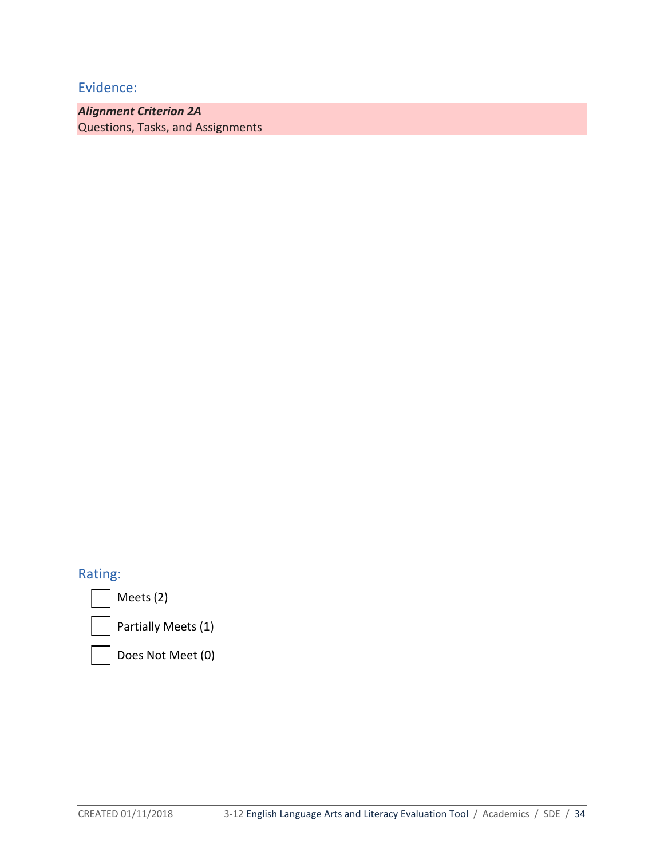*Alignment Criterion 2A*  Questions, Tasks, and Assignments

# Rating:

Meets (2)



Partially Meets (1)

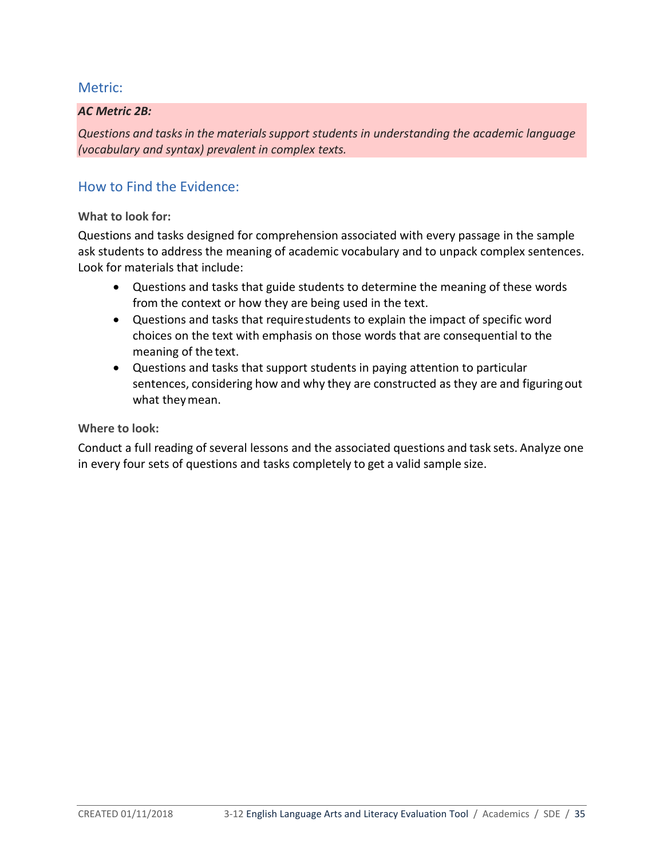#### *AC Metric 2B:*

*Questions and tasksin the materialssupport students in understanding the academic language (vocabulary and syntax) prevalent in complex texts.*

# How to Find the Evidence:

#### **What to look for:**

Questions and tasks designed for comprehension associated with every passage in the sample ask students to address the meaning of academic vocabulary and to unpack complex sentences. Look for materials that include:

- Questions and tasks that guide students to determine the meaning of these words from the context or how they are being used in the text.
- Questions and tasks that requirestudents to explain the impact of specific word choices on the text with emphasis on those words that are consequential to the meaning of the text.
- Questions and tasks that support students in paying attention to particular sentences, considering how and why they are constructed as they are and figuringout what theymean.

#### **Where to look:**

Conduct a full reading of several lessons and the associated questions and task sets. Analyze one in every four sets of questions and tasks completely to get a valid sample size.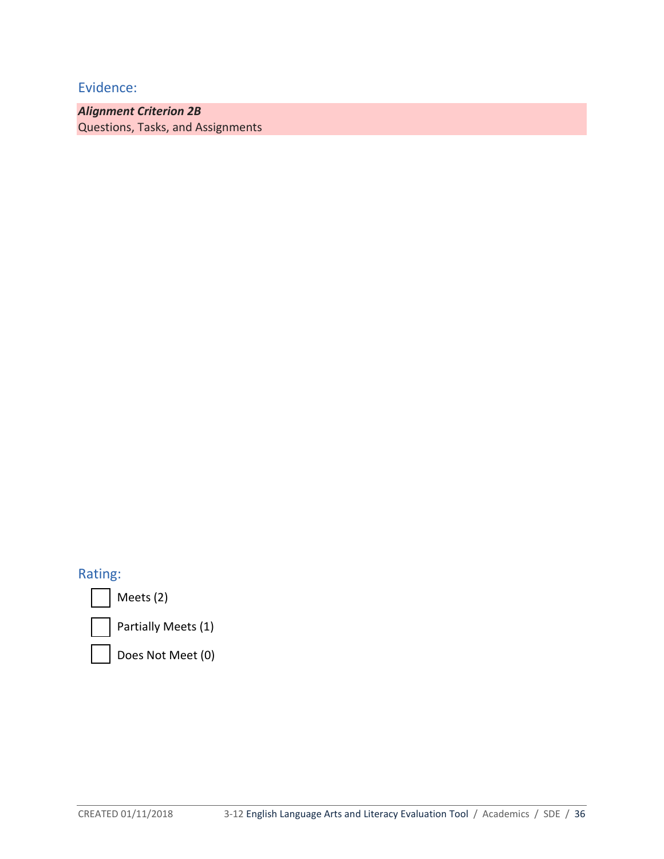*Alignment Criterion 2B*  Questions, Tasks, and Assignments

# Rating:

Meets (2)



Partially Meets (1)

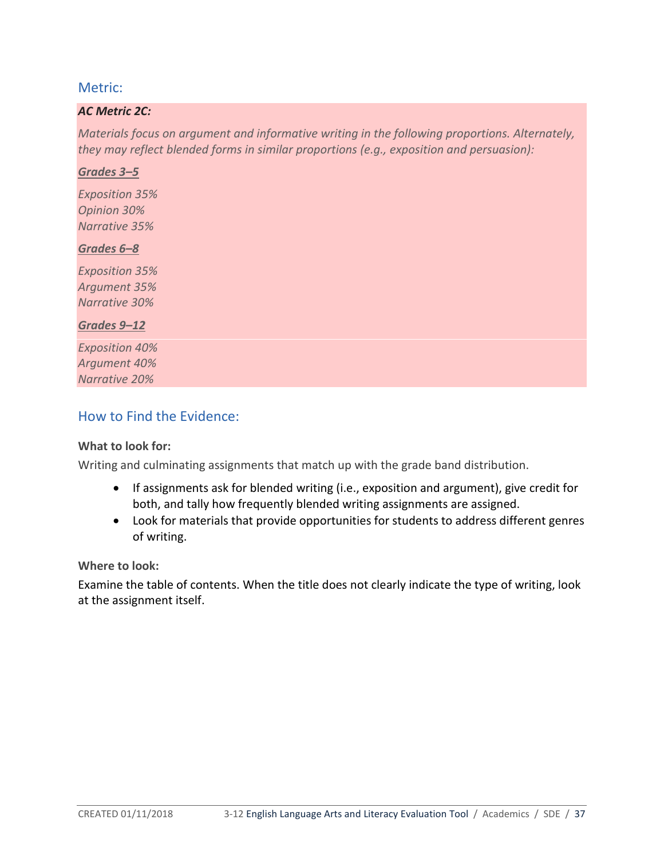#### *AC Metric 2C:*

*Materials focus on argument and informative writing in the following proportions. Alternately, they may reflect blended forms in similar proportions (e.g., exposition and persuasion):*

#### *Grades 3–5*

*Exposition 35% Opinion 30% Narrative 35%*

#### *Grades 6–8*

*Exposition 35% Argument 35% Narrative 30%*

#### *Grades 9–12*

*Exposition 40% Argument 40% Narrative 20%*

# How to Find the Evidence:

## **What to look for:**

Writing and culminating assignments that match up with the grade band distribution.

- If assignments ask for blended writing (i.e., exposition and argument), give credit for both, and tally how frequently blended writing assignments are assigned.
- Look for materials that provide opportunities for students to address different genres of writing.

#### **Where to look:**

Examine the table of contents. When the title does not clearly indicate the type of writing, look at the assignment itself.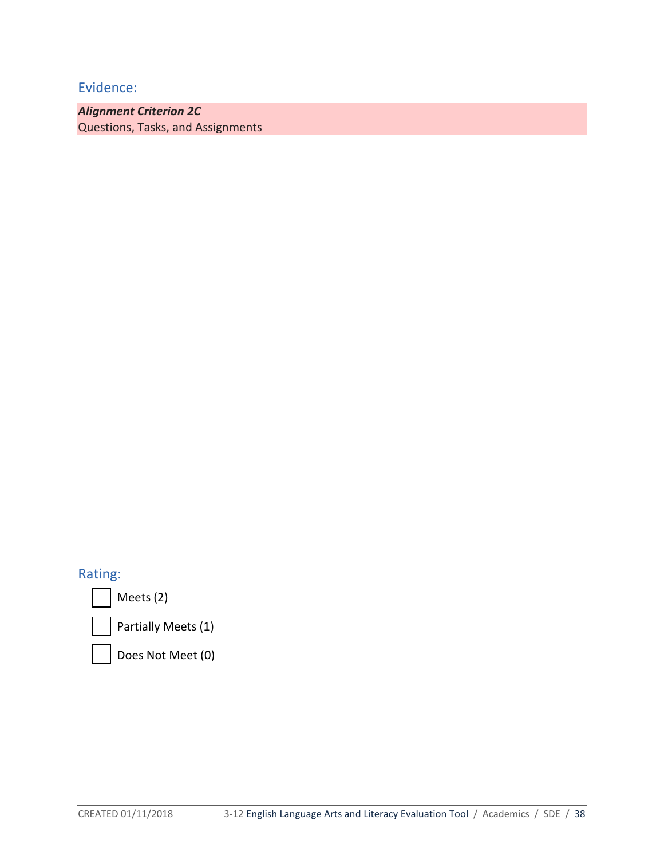*Alignment Criterion 2C* Questions, Tasks, and Assignments

# Rating:

Meets (2)

Partially Meets (1)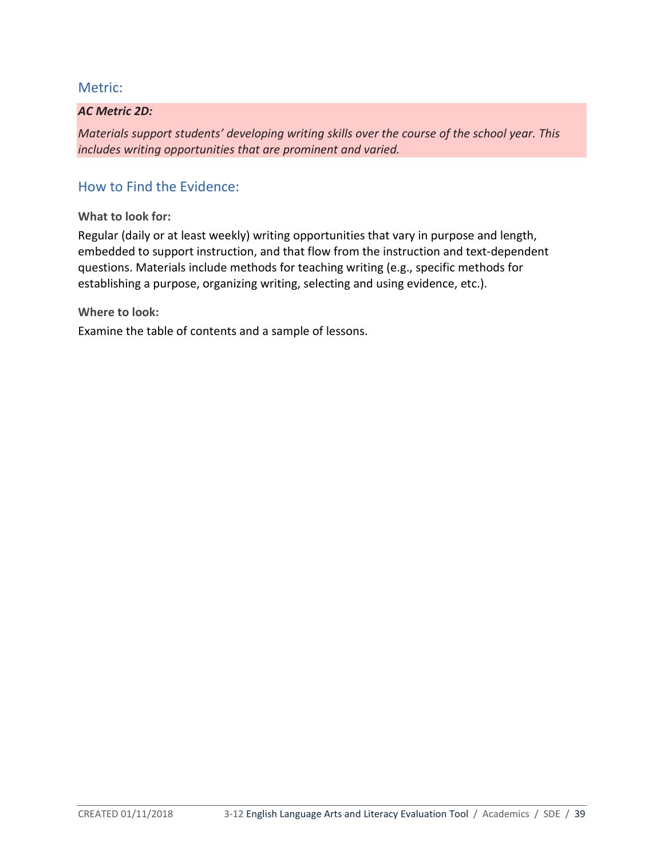#### *AC Metric 2D:*

*Materials support students' developing writing skills over the course of the school year. This includes writing opportunities that are prominent and varied.*

# How to Find the Evidence:

**What to look for:**

Regular (daily or at least weekly) writing opportunities that vary in purpose and length, embedded to support instruction, and that flow from the instruction and text-dependent questions. Materials include methods for teaching writing (e.g., specific methods for establishing a purpose, organizing writing, selecting and using evidence, etc.).

**Where to look:**

Examine the table of contents and a sample of lessons.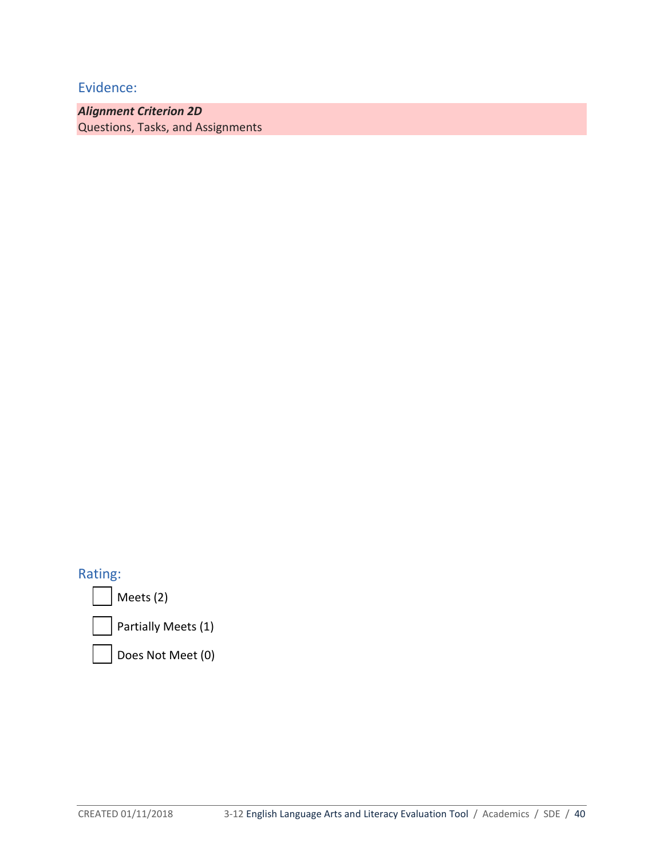*Alignment Criterion 2D* Questions, Tasks, and Assignments

Rating:

Meets (2)

Partially Meets (1)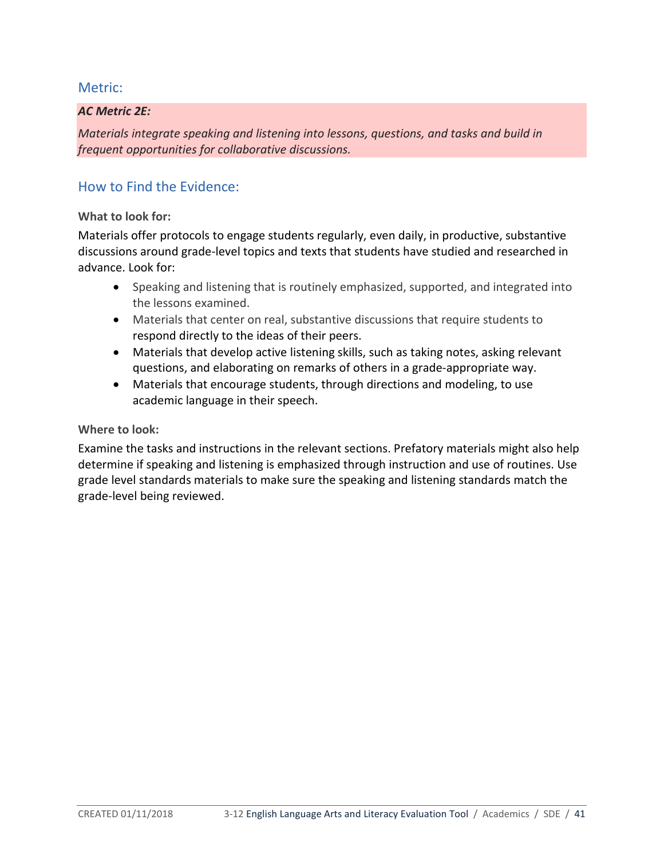#### *AC Metric 2E:*

*Materials integrate speaking and listening into lessons, questions, and tasks and build in frequent opportunities for collaborative discussions.*

# How to Find the Evidence:

#### **What to look for:**

Materials offer protocols to engage students regularly, even daily, in productive, substantive discussions around grade-level topics and texts that students have studied and researched in advance. Look for:

- Speaking and listening that is routinely emphasized, supported, and integrated into the lessons examined.
- Materials that center on real, substantive discussions that require students to respond directly to the ideas of their peers.
- Materials that develop active listening skills, such as taking notes, asking relevant questions, and elaborating on remarks of others in a grade-appropriate way.
- Materials that encourage students, through directions and modeling, to use academic language in their speech.

#### **Where to look:**

Examine the tasks and instructions in the relevant sections. Prefatory materials might also help determine if speaking and listening is emphasized through instruction and use of routines. Use grade level standards materials to make sure the speaking and listening standards match the grade-level being reviewed.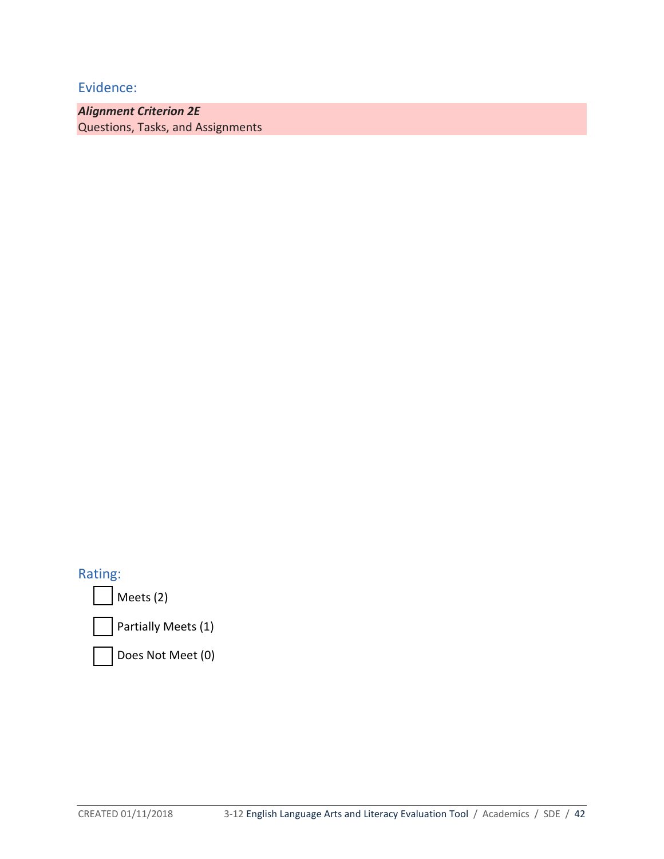*Alignment Criterion 2E* Questions, Tasks, and Assignments

Rating:

Meets (2)

Partially Meets (1)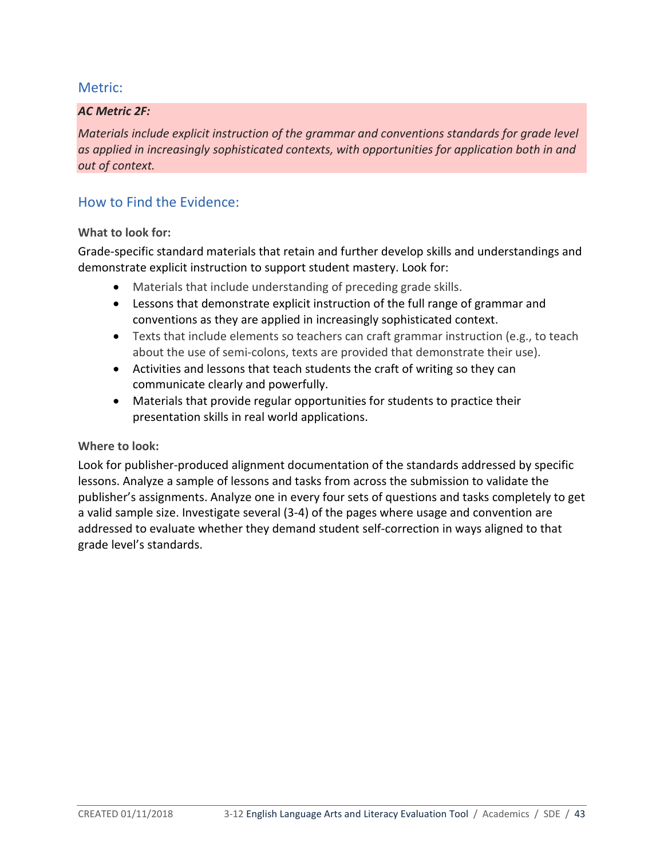#### *AC Metric 2F:*

*Materials include explicit instruction of the grammar and conventions standards for grade level as applied in increasingly sophisticated contexts, with opportunities for application both in and out of context.*

# How to Find the Evidence:

#### **What to look for:**

Grade-specific standard materials that retain and further develop skills and understandings and demonstrate explicit instruction to support student mastery. Look for:

- Materials that include understanding of preceding grade skills.
- Lessons that demonstrate explicit instruction of the full range of grammar and conventions as they are applied in increasingly sophisticated context.
- Texts that include elements so teachers can craft grammar instruction (e.g., to teach about the use of semi-colons, texts are provided that demonstrate their use).
- Activities and lessons that teach students the craft of writing so they can communicate clearly and powerfully.
- Materials that provide regular opportunities for students to practice their presentation skills in real world applications.

#### **Where to look:**

Look for publisher-produced alignment documentation of the standards addressed by specific lessons. Analyze a sample of lessons and tasks from across the submission to validate the publisher's assignments. Analyze one in every four sets of questions and tasks completely to get a valid sample size. Investigate several (3-4) of the pages where usage and convention are addressed to evaluate whether they demand student self-correction in ways aligned to that grade level's standards.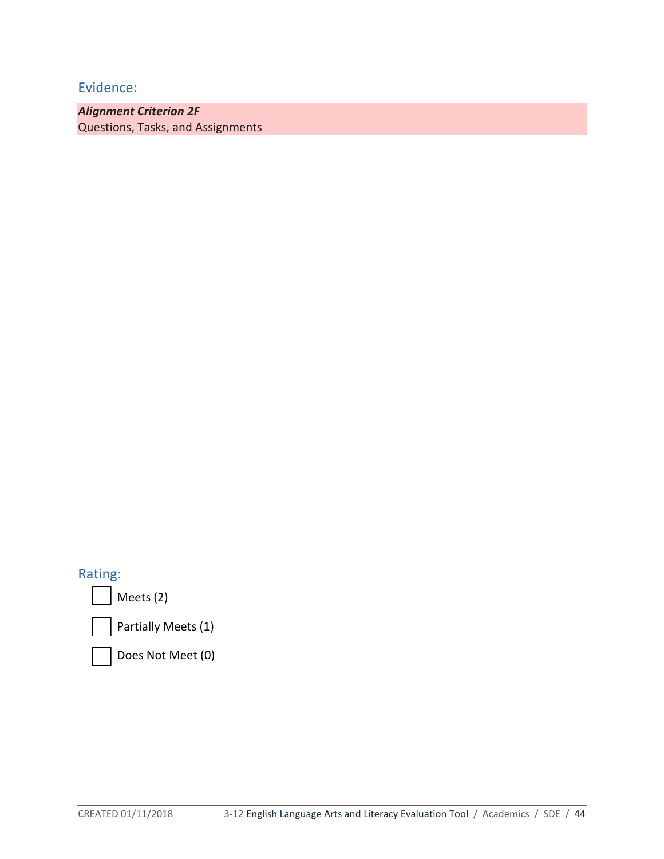*Alignment Criterion 2F* Questions, Tasks, and Assignments

# Rating:

Meets (2)



Partially Meets (1)

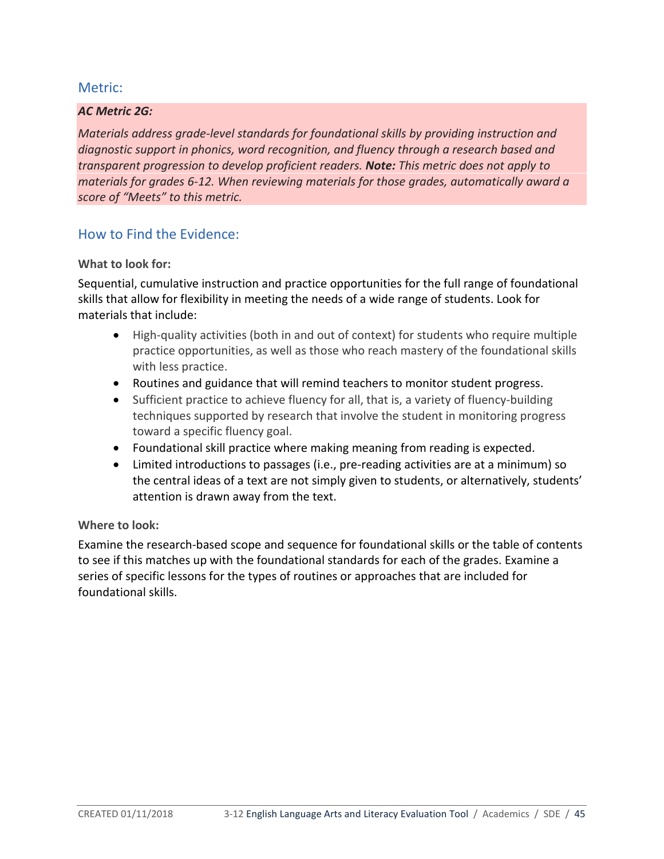#### *AC Metric 2G:*

*Materials address grade-level standards for foundational skills by providing instruction and diagnostic support in phonics, word recognition, and fluency through a research based and transparent progression to develop proficient readers. Note: This metric does not apply to materials for grades 6-12. When reviewing materials for those grades, automatically award a score of "Meets" to this metric.*

## How to Find the Evidence:

#### **What to look for:**

Sequential, cumulative instruction and practice opportunities for the full range of foundational skills that allow for flexibility in meeting the needs of a wide range of students. Look for materials that include:

- High-quality activities (both in and out of context) for students who require multiple practice opportunities, as well as those who reach mastery of the foundational skills with less practice.
- Routines and guidance that will remind teachers to monitor student progress.
- Sufficient practice to achieve fluency for all, that is, a variety of fluency-building techniques supported by research that involve the student in monitoring progress toward a specific fluency goal.
- Foundational skill practice where making meaning from reading is expected.
- Limited introductions to passages (i.e., pre-reading activities are at a minimum) so the central ideas of a text are not simply given to students, or alternatively, students' attention is drawn away from the text.

#### **Where to look:**

Examine the research-based scope and sequence for foundational skills or the table of contents to see if this matches up with the foundational standards for each of the grades. Examine a series of specific lessons for the types of routines or approaches that are included for foundational skills.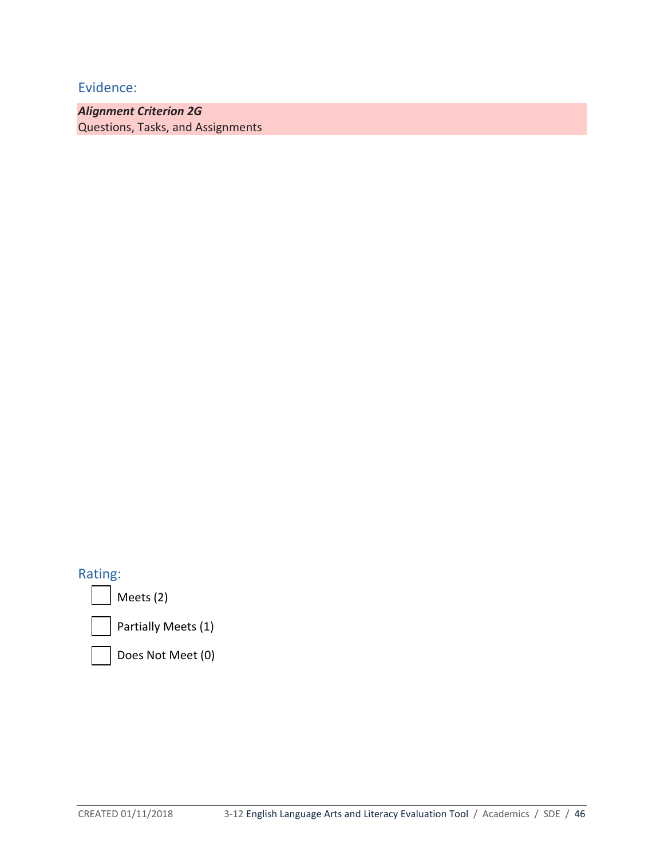*Alignment Criterion 2G* Questions, Tasks, and Assignments

# Rating:

Meets (2)



Partially Meets (1)

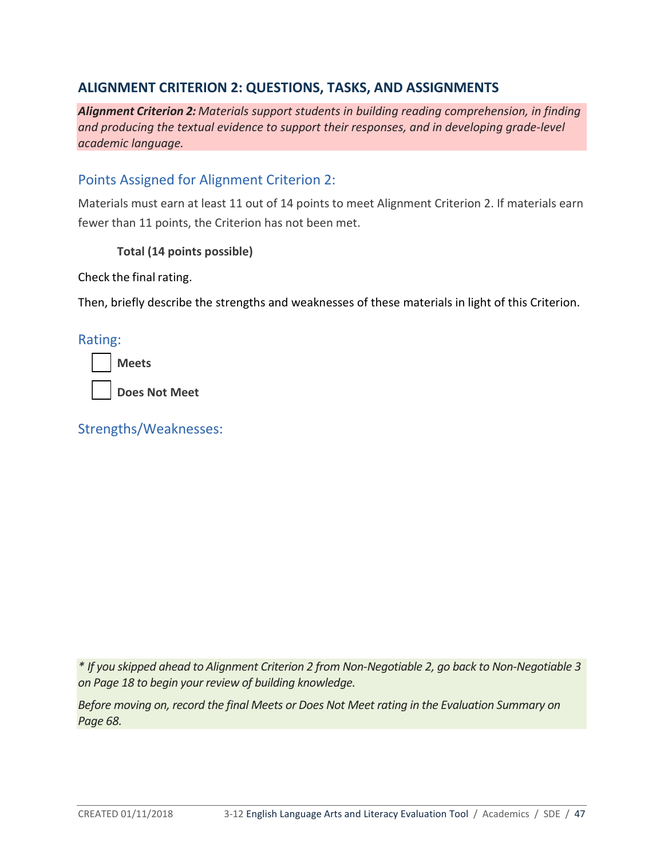# **ALIGNMENT CRITERION 2: QUESTIONS, TASKS, AND ASSIGNMENTS**

*Alignment Criterion 2: Materials support students in building reading comprehension, in finding and producing the textual evidence to support their responses, and in developing grade-level academic language.*

# Points Assigned for Alignment Criterion 2:

Materials must earn at least 11 out of 14 points to meet Alignment Criterion 2. If materials earn fewer than 11 points, the Criterion has not been met.

#### **Total (14 points possible)**

Check the final rating.

Then, briefly describe the strengths and weaknesses of these materials in light of this Criterion.

## Rating:

**Meets**

**Does Not Meet**

Strengths/Weaknesses:

*\* If you skipped ahead to Alignment Criterion 2 from Non-Negotiable 2, go back to Non-Negotiable 3 on Page 18 to begin your review of building knowledge.*

*Before moving on, record the final Meets or Does Not Meet rating in the Evaluation Summary on Page 68.*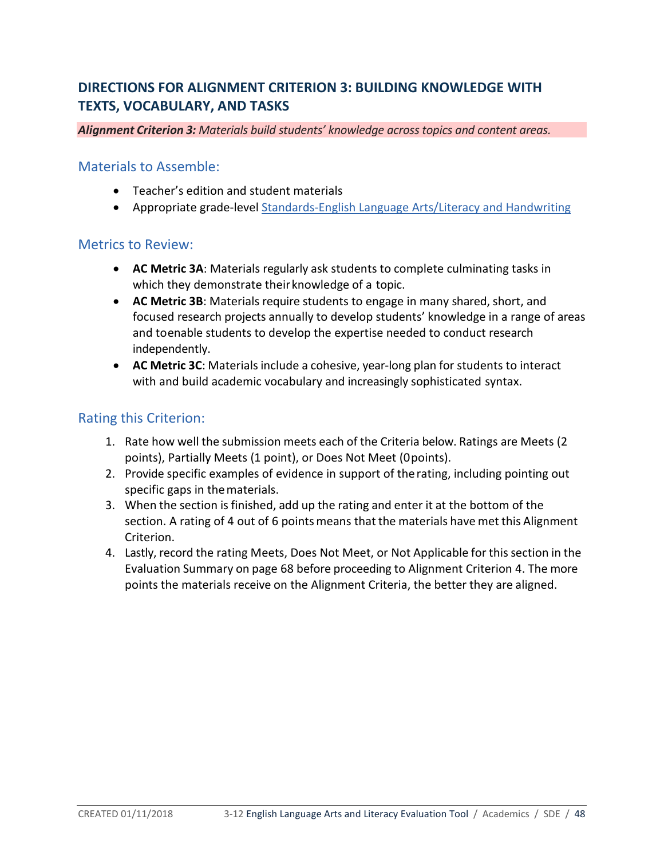# **DIRECTIONS FOR ALIGNMENT CRITERION 3: BUILDING KNOWLEDGE WITH TEXTS, VOCABULARY, AND TASKS**

#### *Alignment Criterion 3: Materials build students' knowledge across topics and content areas.*

## Materials to Assemble:

- Teacher's edition and student materials
- Appropriate grade-level [Standards-English Language Arts/Literacy and Handwriting](http://www.sde.idaho.gov/academic/shared/ela-literacy/booklets/ELA-Literacy-Standards.pdf)

## Metrics to Review:

- **AC Metric 3A**: Materials regularly ask students to complete culminating tasks in which they demonstrate their knowledge of a topic.
- **AC Metric 3B**: Materials require students to engage in many shared, short, and focused research projects annually to develop students' knowledge in a range of areas and toenable students to develop the expertise needed to conduct research independently.
- **AC Metric 3C**: Materials include a cohesive, year-long plan for students to interact with and build academic vocabulary and increasingly sophisticated syntax.

# Rating this Criterion:

- 1. Rate how well the submission meets each of the Criteria below. Ratings are Meets (2 points), Partially Meets (1 point), or Does Not Meet (0points).
- 2. Provide specific examples of evidence in support of therating, including pointing out specific gaps in thematerials.
- 3. When the section is finished, add up the rating and enter it at the bottom of the section. A rating of 4 out of 6 points means that the materials have met this Alignment Criterion.
- 4. Lastly, record the rating Meets, Does Not Meet, or Not Applicable for thissection in the Evaluation Summary on page 68 before proceeding to Alignment Criterion 4. The more points the materials receive on the Alignment Criteria, the better they are aligned.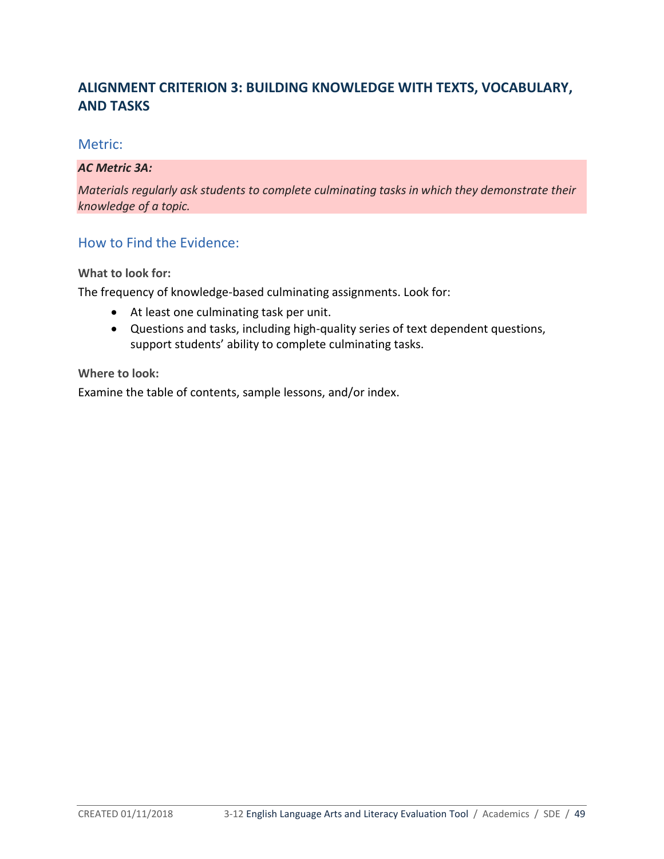# **ALIGNMENT CRITERION 3: BUILDING KNOWLEDGE WITH TEXTS, VOCABULARY, AND TASKS**

## Metric:

#### *AC Metric 3A:*

*Materials regularly ask students to complete culminating tasks in which they demonstrate their knowledge of a topic.*

# How to Find the Evidence:

**What to look for:**

The frequency of knowledge-based culminating assignments. Look for:

- At least one culminating task per unit.
- Questions and tasks, including high-quality series of text dependent questions, support students' ability to complete culminating tasks.

## **Where to look:**

Examine the table of contents, sample lessons, and/or index.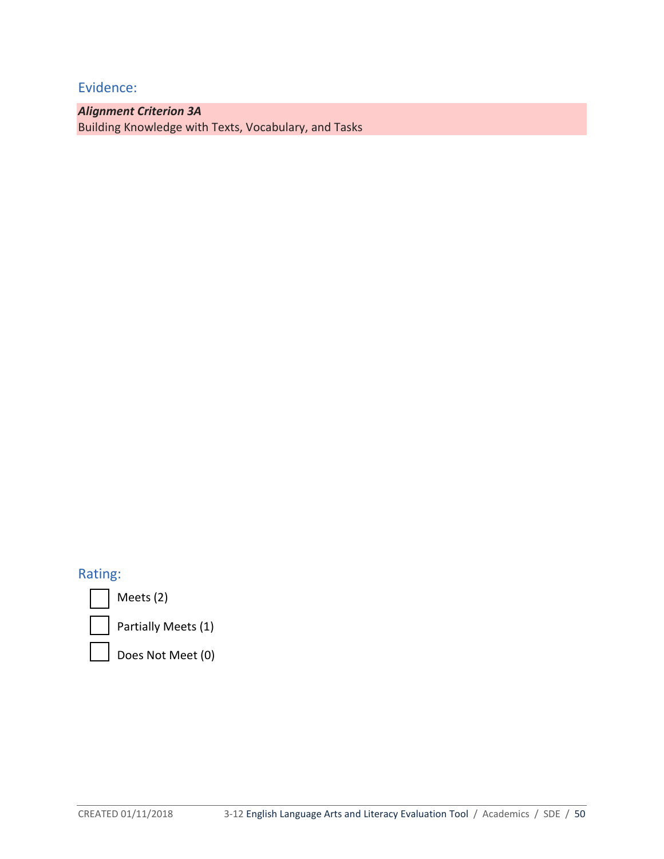*Alignment Criterion 3A* Building Knowledge with Texts, Vocabulary, and Tasks

# Rating:

Meets (2)

Partially Meets (1)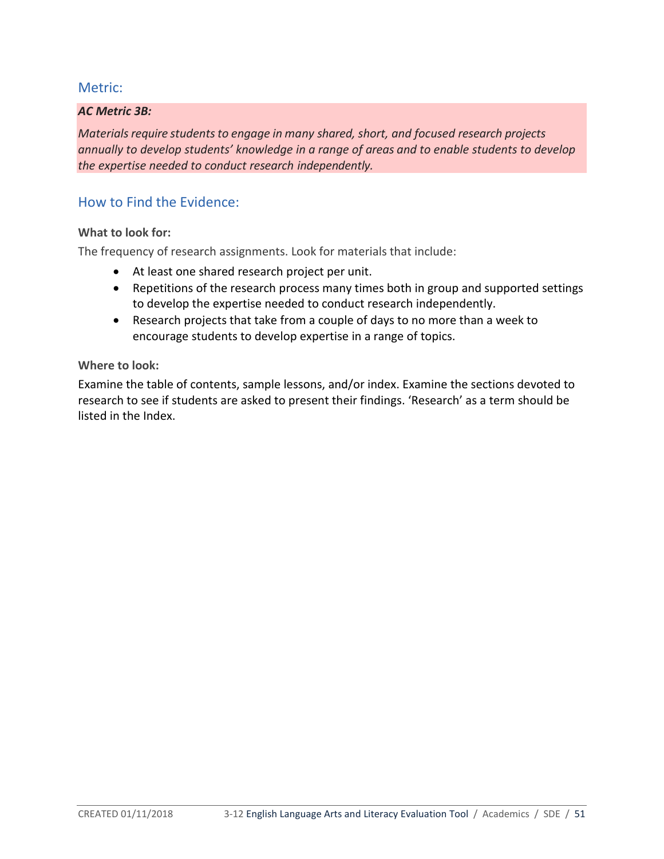#### *AC Metric 3B:*

*Materials require students to engage in many shared, short, and focused research projects annually to develop students' knowledge in a range of areas and to enable students to develop the expertise needed to conduct research independently.*

## How to Find the Evidence:

#### **What to look for:**

The frequency of research assignments. Look for materials that include:

- At least one shared research project per unit.
- Repetitions of the research process many times both in group and supported settings to develop the expertise needed to conduct research independently.
- Research projects that take from a couple of days to no more than a week to encourage students to develop expertise in a range of topics.

#### **Where to look:**

Examine the table of contents, sample lessons, and/or index. Examine the sections devoted to research to see if students are asked to present their findings. 'Research' as a term should be listed in the Index.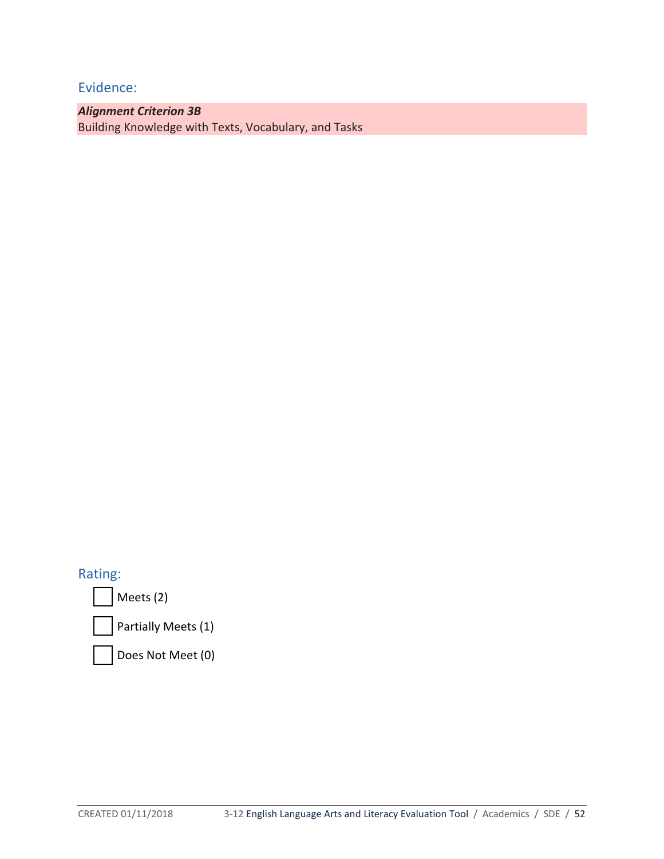*Alignment Criterion 3B* Building Knowledge with Texts, Vocabulary, and Tasks

Rating:

Meets (2)

Partially Meets (1)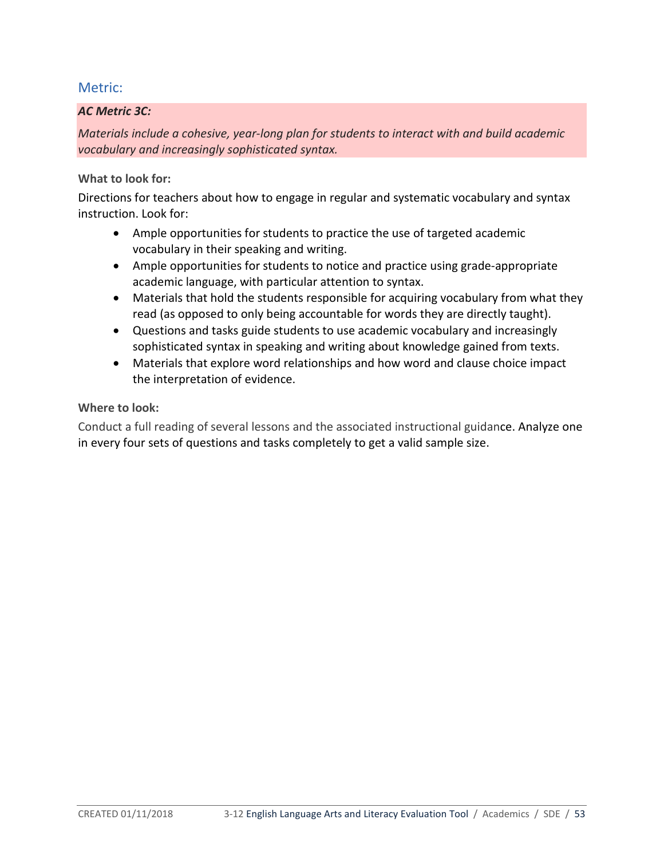## *AC Metric 3C:*

*Materials include a cohesive, year-long plan for students to interact with and build academic vocabulary and increasingly sophisticated syntax.*

#### **What to look for:**

Directions for teachers about how to engage in regular and systematic vocabulary and syntax instruction. Look for:

- Ample opportunities for students to practice the use of targeted academic vocabulary in their speaking and writing.
- Ample opportunities for students to notice and practice using grade-appropriate academic language, with particular attention to syntax.
- Materials that hold the students responsible for acquiring vocabulary from what they read (as opposed to only being accountable for words they are directly taught).
- Questions and tasks guide students to use academic vocabulary and increasingly sophisticated syntax in speaking and writing about knowledge gained from texts.
- Materials that explore word relationships and how word and clause choice impact the interpretation of evidence.

#### **Where to look:**

Conduct a full reading of several lessons and the associated instructional guidance. Analyze one in every four sets of questions and tasks completely to get a valid sample size.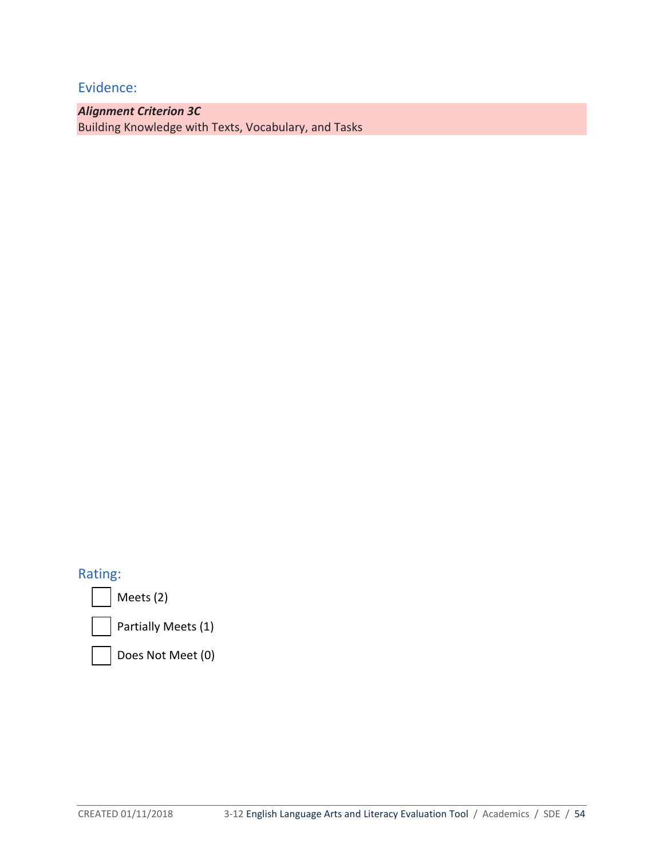*Alignment Criterion 3C*  Building Knowledge with Texts, Vocabulary, and Tasks

# Rating:

Meets (2)



Partially Meets (1)

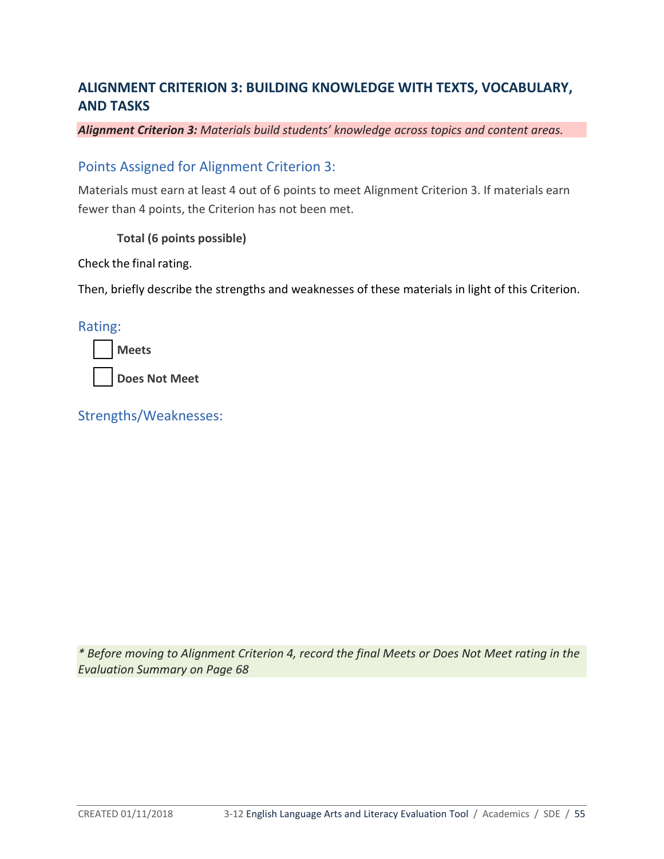# **ALIGNMENT CRITERION 3: BUILDING KNOWLEDGE WITH TEXTS, VOCABULARY, AND TASKS**

#### *Alignment Criterion 3: Materials build students' knowledge across topics and content areas.*

## Points Assigned for Alignment Criterion 3:

Materials must earn at least 4 out of 6 points to meet Alignment Criterion 3. If materials earn fewer than 4 points, the Criterion has not been met.

#### **Total (6 points possible)**

Check the final rating.

Then, briefly describe the strengths and weaknesses of these materials in light of this Criterion.

Rating:

| Meets         |  |  |  |
|---------------|--|--|--|
| Does Not Meet |  |  |  |

Strengths/Weaknesses:

*\* Before moving to Alignment Criterion 4, record the final Meets or Does Not Meet rating in the Evaluation Summary on Page 68*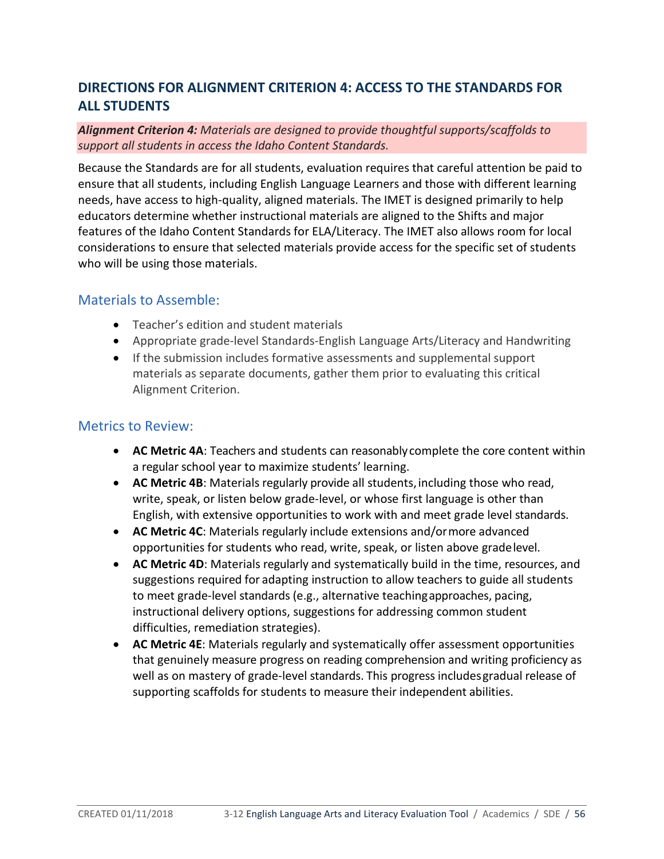# **DIRECTIONS FOR ALIGNMENT CRITERION 4: ACCESS TO THE STANDARDS FOR ALL STUDENTS**

#### *Alignment Criterion 4: Materials are designed to provide thoughtful supports/scaffolds to support all students in access the Idaho Content Standards.*

Because the Standards are for all students, evaluation requires that careful attention be paid to ensure that all students, including English Language Learners and those with different learning needs, have access to high-quality, aligned materials. The IMET is designed primarily to help educators determine whether instructional materials are aligned to the Shifts and major features of the Idaho Content Standards for ELA/Literacy. The IMET also allows room for local considerations to ensure that selected materials provide access for the specific set of students who will be using those materials.

# Materials to Assemble:

- Teacher's edition and student materials
- Appropriate grade-level Standards-English Language Arts/Literacy and Handwriting
- If the submission includes formative assessments and supplemental support materials as separate documents, gather them prior to evaluating this critical Alignment Criterion.

# Metrics to Review:

- **AC Metric 4A**: Teachers and students can reasonablycomplete the core content within a regular school year to maximize students' learning.
- AC Metric 4B: Materials regularly provide all students, including those who read, write, speak, or listen below grade-level, or whose first language is other than English, with extensive opportunities to work with and meet grade level standards.
- **AC Metric 4C**: Materials regularly include extensions and/ormore advanced opportunities for students who read, write, speak, or listen above gradelevel.
- **AC Metric 4D**: Materials regularly and systematically build in the time, resources, and suggestions required for adapting instruction to allow teachers to guide all students to meet grade-level standards (e.g., alternative teachingapproaches, pacing, instructional delivery options, suggestions for addressing common student difficulties, remediation strategies).
- **AC Metric 4E**: Materials regularly and systematically offer assessment opportunities that genuinely measure progress on reading comprehension and writing proficiency as well as on mastery of grade-level standards. This progress includesgradual release of supporting scaffolds for students to measure their independent abilities.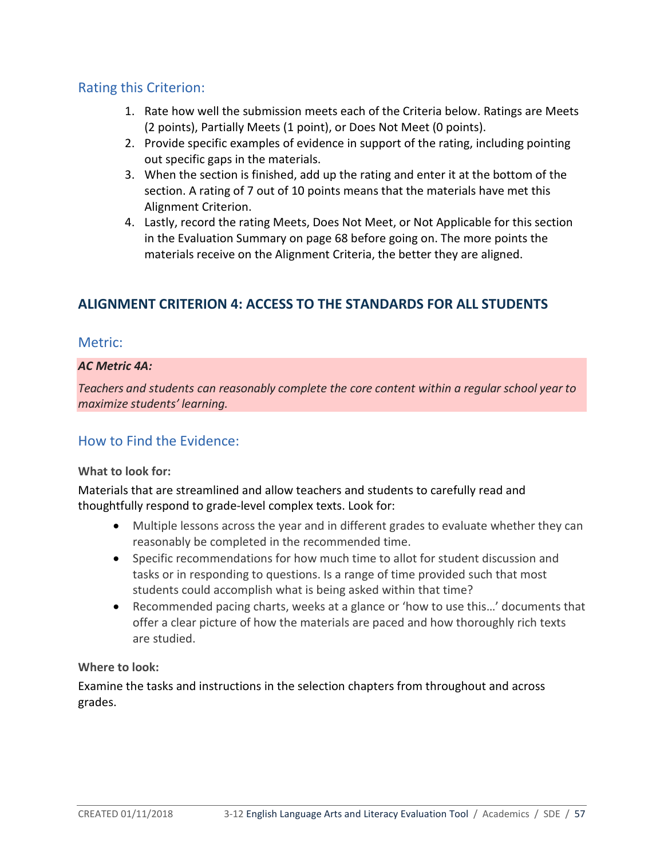# Rating this Criterion:

- 1. Rate how well the submission meets each of the Criteria below. Ratings are Meets (2 points), Partially Meets (1 point), or Does Not Meet (0 points).
- 2. Provide specific examples of evidence in support of the rating, including pointing out specific gaps in the materials.
- 3. When the section is finished, add up the rating and enter it at the bottom of the section. A rating of 7 out of 10 points means that the materials have met this Alignment Criterion.
- 4. Lastly, record the rating Meets, Does Not Meet, or Not Applicable for this section in the Evaluation Summary on page 68 before going on. The more points the materials receive on the Alignment Criteria, the better they are aligned.

# **ALIGNMENT CRITERION 4: ACCESS TO THE STANDARDS FOR ALL STUDENTS**

## Metric:

## *AC Metric 4A:*

*Teachers and students can reasonably complete the core content within a regular school year to maximize students' learning.*

# How to Find the Evidence:

## **What to look for:**

Materials that are streamlined and allow teachers and students to carefully read and thoughtfully respond to grade-level complex texts. Look for:

- Multiple lessons across the year and in different grades to evaluate whether they can reasonably be completed in the recommended time.
- Specific recommendations for how much time to allot for student discussion and tasks or in responding to questions. Is a range of time provided such that most students could accomplish what is being asked within that time?
- Recommended pacing charts, weeks at a glance or 'how to use this…' documents that offer a clear picture of how the materials are paced and how thoroughly rich texts are studied.

## **Where to look:**

Examine the tasks and instructions in the selection chapters from throughout and across grades.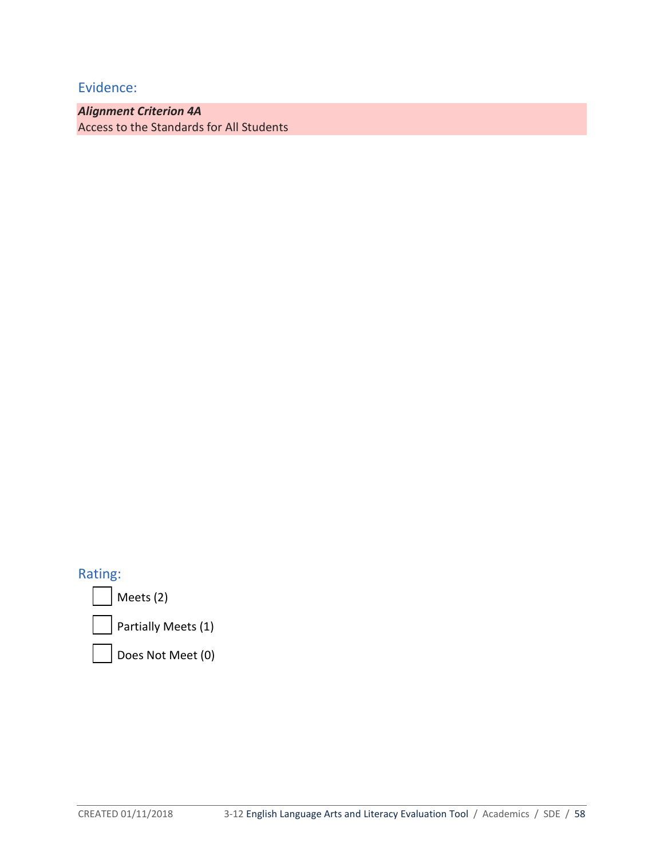*Alignment Criterion 4A* Access to the Standards for All Students

Rating:

Meets (2)

Partially Meets (1)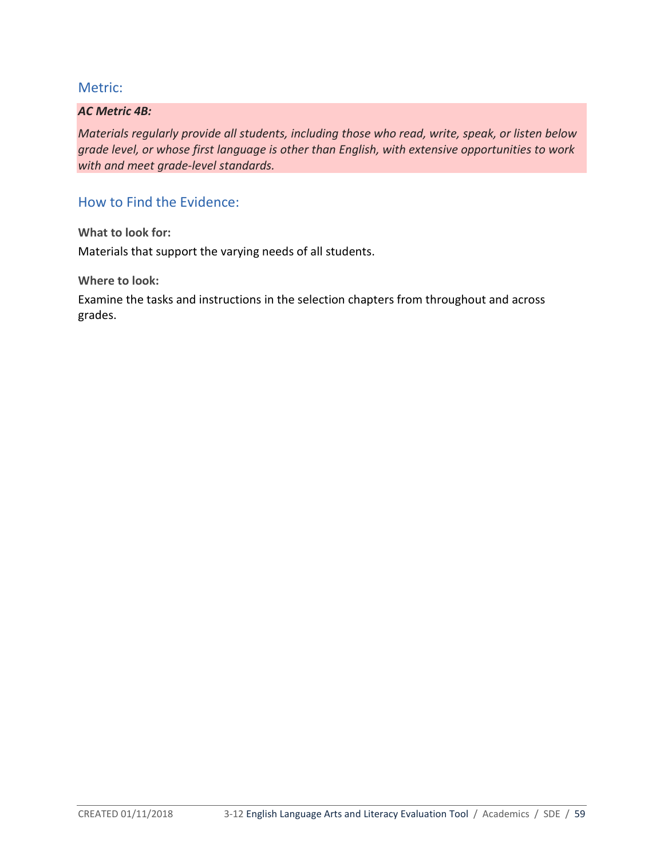#### *AC Metric 4B:*

*Materials regularly provide all students, including those who read, write, speak, or listen below grade level, or whose first language is other than English, with extensive opportunities to work with and meet grade-level standards.*

# How to Find the Evidence:

**What to look for:**  Materials that support the varying needs of all students.

**Where to look:** 

Examine the tasks and instructions in the selection chapters from throughout and across grades.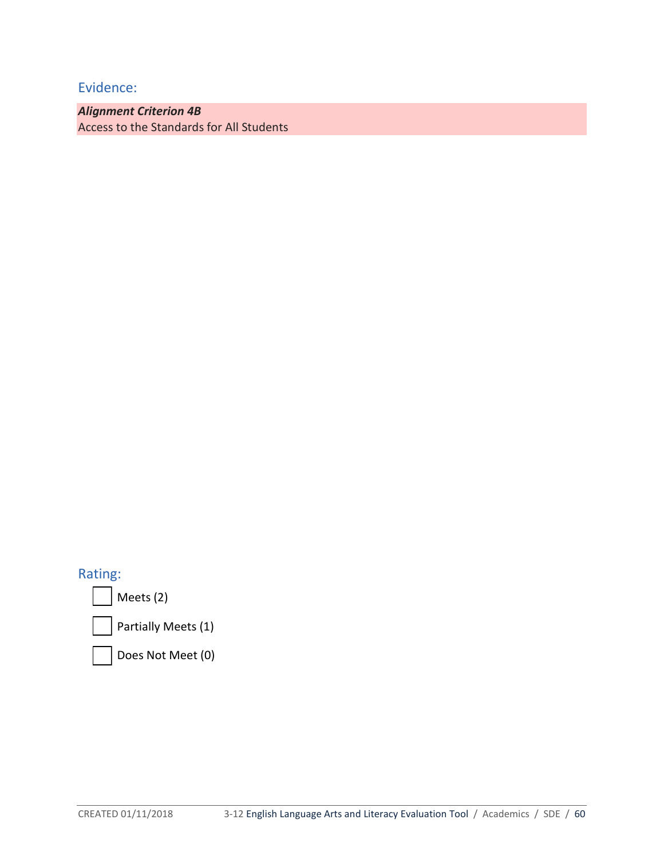*Alignment Criterion 4B* Access to the Standards for All Students

Rating:

Meets (2)

Partially Meets (1)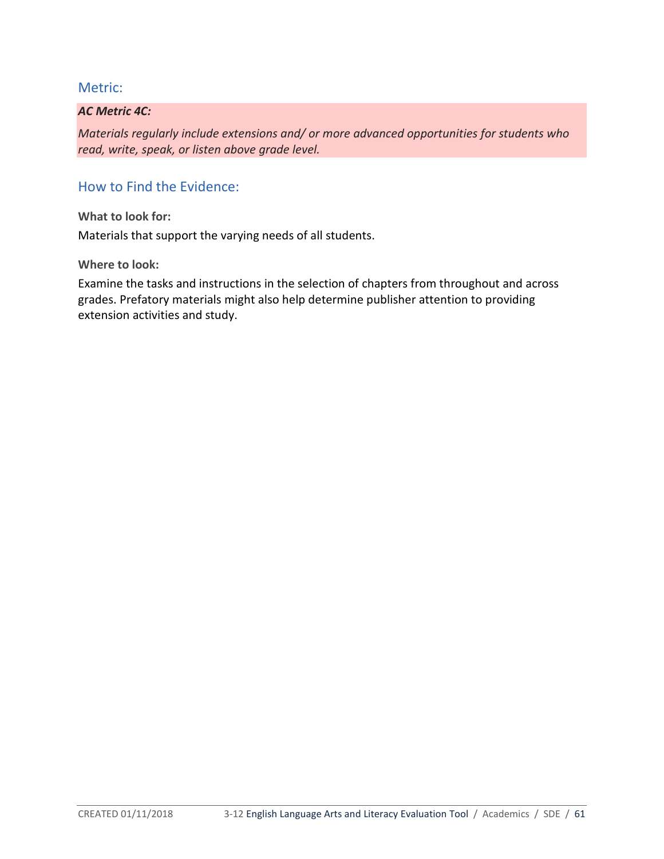#### *AC Metric 4C:*

*Materials regularly include extensions and/ or more advanced opportunities for students who read, write, speak, or listen above grade level.*

# How to Find the Evidence:

**What to look for:**

Materials that support the varying needs of all students.

**Where to look:**

Examine the tasks and instructions in the selection of chapters from throughout and across grades. Prefatory materials might also help determine publisher attention to providing extension activities and study.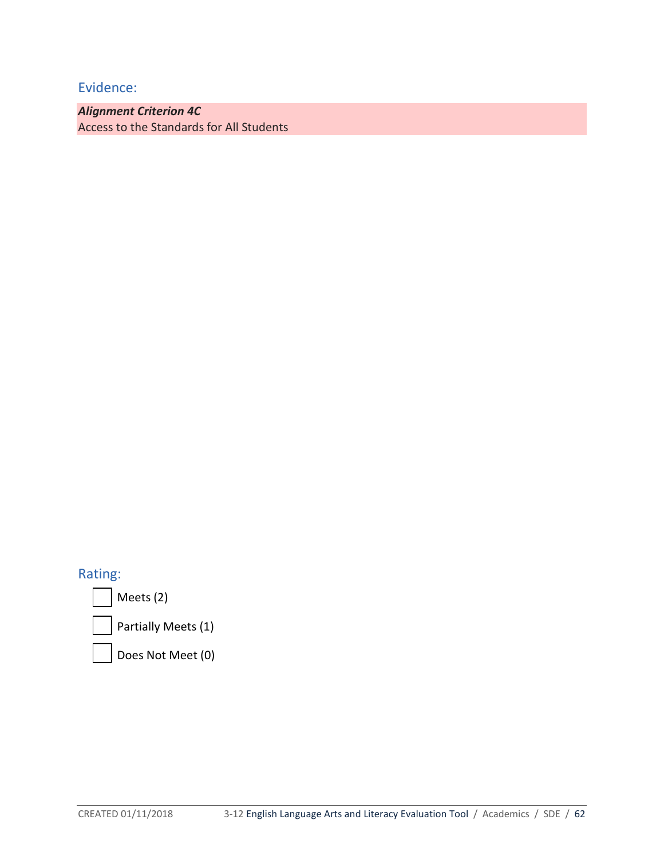*Alignment Criterion 4C*  Access to the Standards for All Students

Rating:

Meets (2)

Partially Meets (1)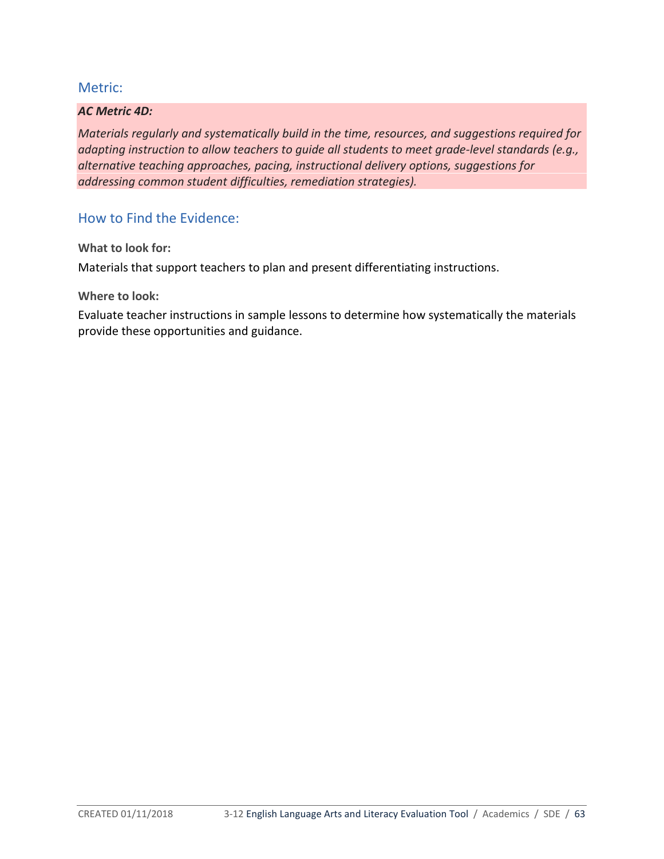#### *AC Metric 4D:*

*Materials regularly and systematically build in the time, resources, and suggestions required for adapting instruction to allow teachers to guide all students to meet grade-level standards (e.g., alternative teaching approaches, pacing, instructional delivery options, suggestions for addressing common student difficulties, remediation strategies).*

How to Find the Evidence:

**What to look for:**

Materials that support teachers to plan and present differentiating instructions.

**Where to look:**

Evaluate teacher instructions in sample lessons to determine how systematically the materials provide these opportunities and guidance.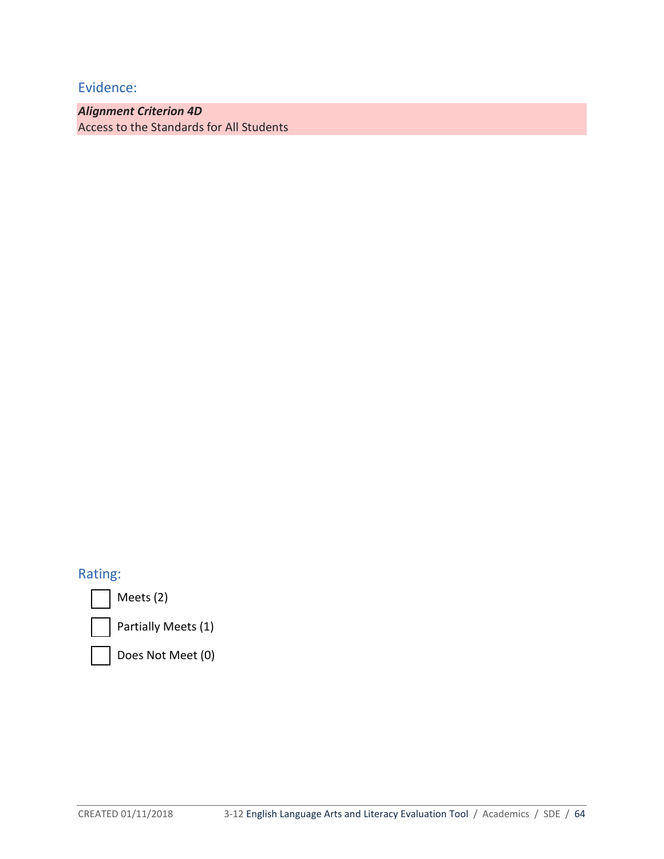*Alignment Criterion 4D* Access to the Standards for All Students

# Rating:

Meets (2)



Partially Meets (1)

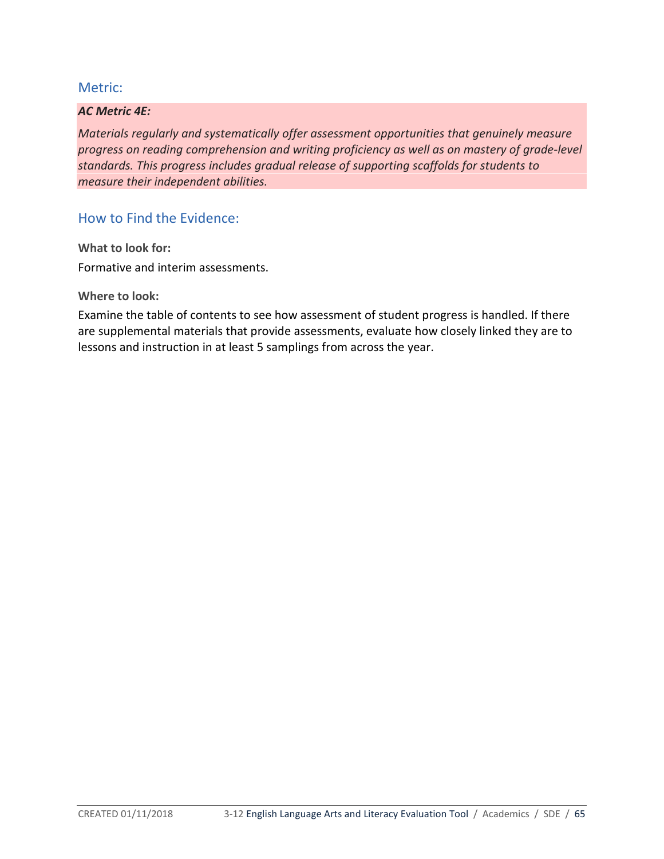#### *AC Metric 4E:*

*Materials regularly and systematically offer assessment opportunities that genuinely measure progress on reading comprehension and writing proficiency as well as on mastery of grade-level standards. This progress includes gradual release of supporting scaffolds for students to measure their independent abilities.*

How to Find the Evidence:

**What to look for:** Formative and interim assessments.

**Where to look:**

Examine the table of contents to see how assessment of student progress is handled. If there are supplemental materials that provide assessments, evaluate how closely linked they are to lessons and instruction in at least 5 samplings from across the year.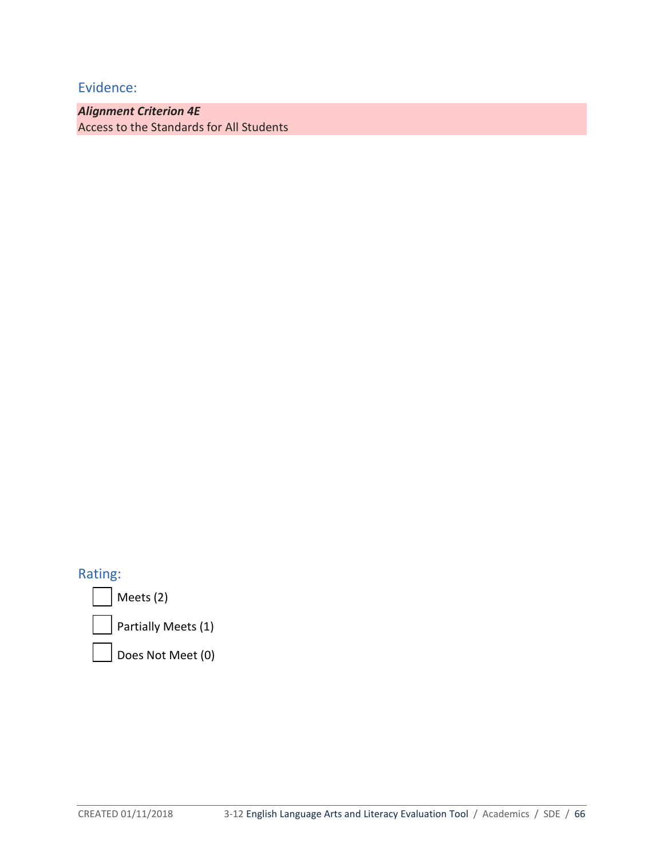*Alignment Criterion 4E* Access to the Standards for All Students

Rating:

Meets (2)

Partially Meets (1)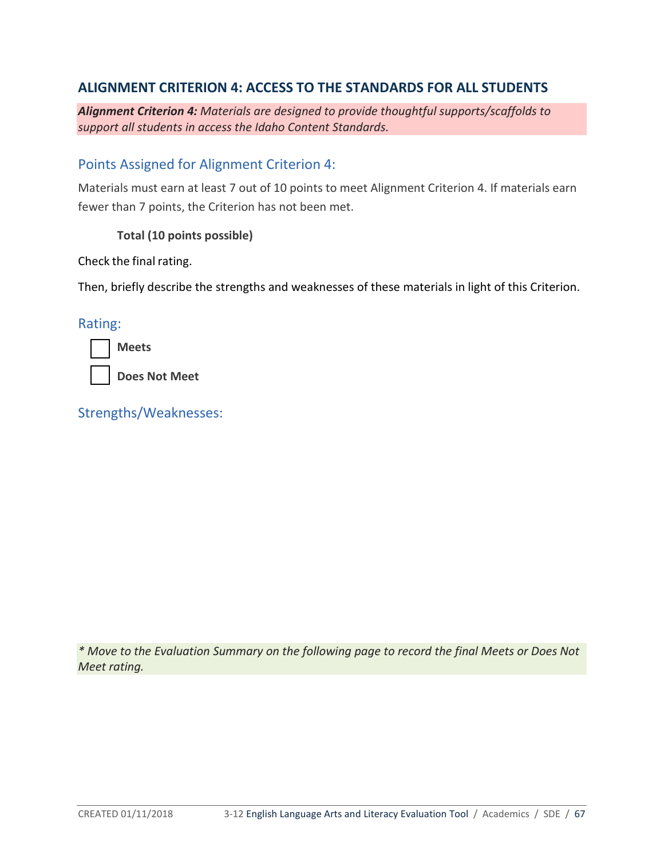# **ALIGNMENT CRITERION 4: ACCESS TO THE STANDARDS FOR ALL STUDENTS**

*Alignment Criterion 4: Materials are designed to provide thoughtful supports/scaffolds to support all students in access the Idaho Content Standards.*

## Points Assigned for Alignment Criterion 4:

Materials must earn at least 7 out of 10 points to meet Alignment Criterion 4. If materials earn fewer than 7 points, the Criterion has not been met.

**Total (10 points possible)**

Check the final rating.

Then, briefly describe the strengths and weaknesses of these materials in light of this Criterion.

Rating:

| <b>IVIPP</b><br>٦ς. |
|---------------------|
|                     |

**Does Not Meet**

Strengths/Weaknesses:

*\* Move to the Evaluation Summary on the following page to record the final Meets or Does Not Meet rating.*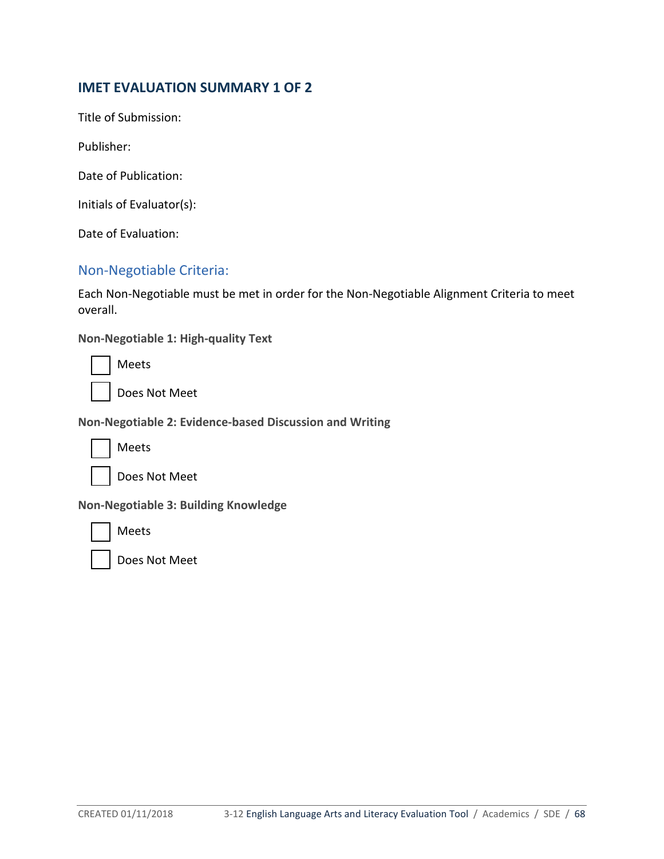# **IMET EVALUATION SUMMARY 1 OF 2**

Title of Submission:

Publisher:

Date of Publication:

Initials of Evaluator(s):

Date of Evaluation:

# Non-Negotiable Criteria:

Each Non-Negotiable must be met in order for the Non-Negotiable Alignment Criteria to meet overall.

**Non-Negotiable 1: High-quality Text**

Meets

Does Not Meet

**Non-Negotiable 2: Evidence-based Discussion and Writing**



Meets

Does Not Meet

**Non-Negotiable 3: Building Knowledge**



Meets

Does Not Meet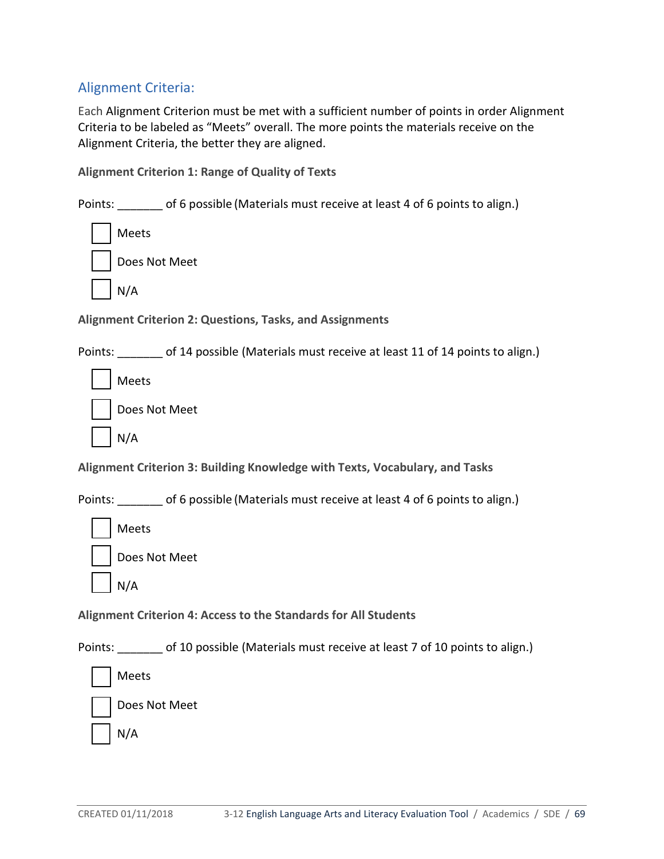# Alignment Criteria:

Each Alignment Criterion must be met with a sufficient number of points in order Alignment Criteria to be labeled as "Meets" overall. The more points the materials receive on the Alignment Criteria, the better they are aligned.

**Alignment Criterion 1: Range of Quality of Texts**

Points: of 6 possible (Materials must receive at least 4 of 6 points to align.)

| Meets  |  |
|--------|--|
| Does N |  |

es Not Meet

N/A

**Alignment Criterion 2: Questions, Tasks, and Assignments** 

Points: \_\_\_\_\_\_\_ of 14 possible (Materials must receive at least 11 of 14 points to align.)

Meets

| Does Not Meet |  |
|---------------|--|
|               |  |



**Alignment Criterion 3: Building Knowledge with Texts, Vocabulary, and Tasks**

Points: of 6 possible (Materials must receive at least 4 of 6 points to align.)



Does Not Meet

N/A

**Alignment Criterion 4: Access to the Standards for All Students** 

Points: \_\_\_\_\_\_\_ of 10 possible (Materials must receive at least 7 of 10 points to align.)

Meets



N/A